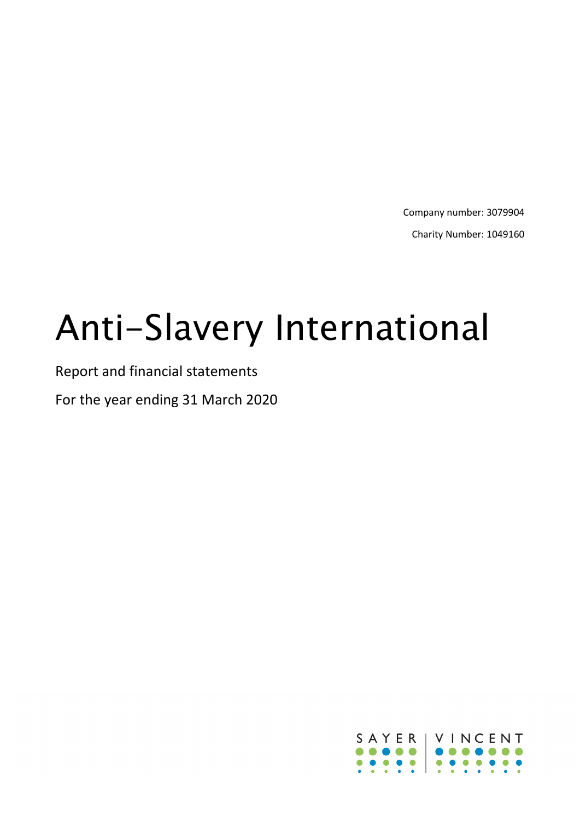Company number: 3079904 Charity Number: 1049160

# Anti-Slavery International

Report and financial statements

For the year ending 31 March 2020

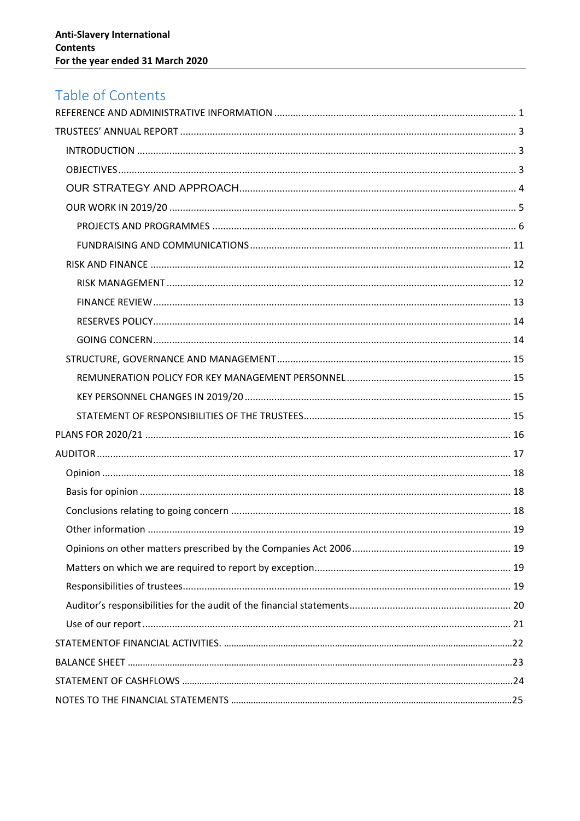# Table of Contents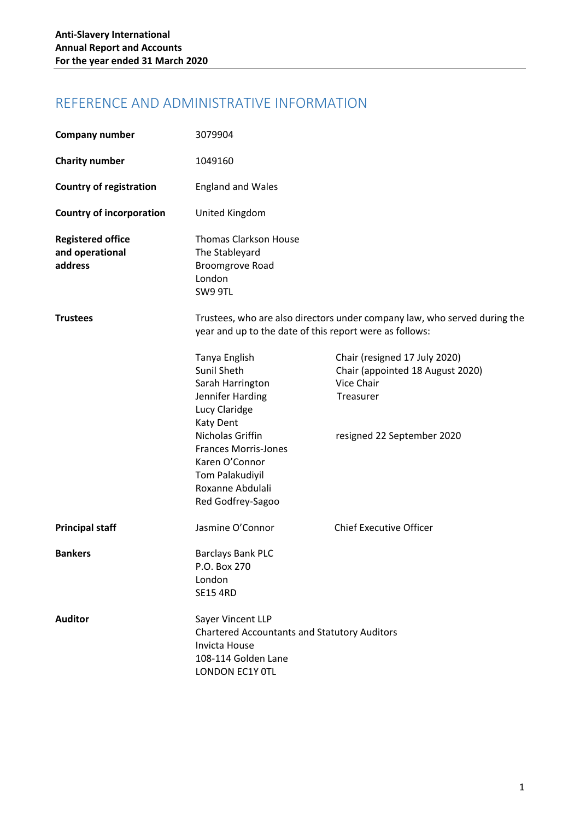# <span id="page-2-0"></span>REFERENCE AND ADMINISTRATIVE INFORMATION

| <b>Company number</b>                                  | 3079904                                                                                                                                                                                                                                    |                                                                                                                            |
|--------------------------------------------------------|--------------------------------------------------------------------------------------------------------------------------------------------------------------------------------------------------------------------------------------------|----------------------------------------------------------------------------------------------------------------------------|
| <b>Charity number</b>                                  | 1049160                                                                                                                                                                                                                                    |                                                                                                                            |
| <b>Country of registration</b>                         | <b>England and Wales</b>                                                                                                                                                                                                                   |                                                                                                                            |
| <b>Country of incorporation</b>                        | United Kingdom                                                                                                                                                                                                                             |                                                                                                                            |
| <b>Registered office</b><br>and operational<br>address | <b>Thomas Clarkson House</b><br>The Stableyard<br><b>Broomgrove Road</b><br>London<br>SW9 9TL                                                                                                                                              |                                                                                                                            |
| <b>Trustees</b>                                        | year and up to the date of this report were as follows:                                                                                                                                                                                    | Trustees, who are also directors under company law, who served during the                                                  |
|                                                        | Tanya English<br>Sunil Sheth<br>Sarah Harrington<br>Jennifer Harding<br>Lucy Claridge<br><b>Katy Dent</b><br>Nicholas Griffin<br><b>Frances Morris-Jones</b><br>Karen O'Connor<br>Tom Palakudiyil<br>Roxanne Abdulali<br>Red Godfrey-Sagoo | Chair (resigned 17 July 2020)<br>Chair (appointed 18 August 2020)<br>Vice Chair<br>Treasurer<br>resigned 22 September 2020 |
| <b>Principal staff</b>                                 | Jasmine O'Connor                                                                                                                                                                                                                           | <b>Chief Executive Officer</b>                                                                                             |
| <b>Bankers</b>                                         | <b>Barclays Bank PLC</b><br>P.O. Box 270<br>London<br><b>SE15 4RD</b>                                                                                                                                                                      |                                                                                                                            |
| <b>Auditor</b>                                         | Sayer Vincent LLP<br><b>Chartered Accountants and Statutory Auditors</b><br>Invicta House<br>108-114 Golden Lane<br>LONDON EC1Y OTL                                                                                                        |                                                                                                                            |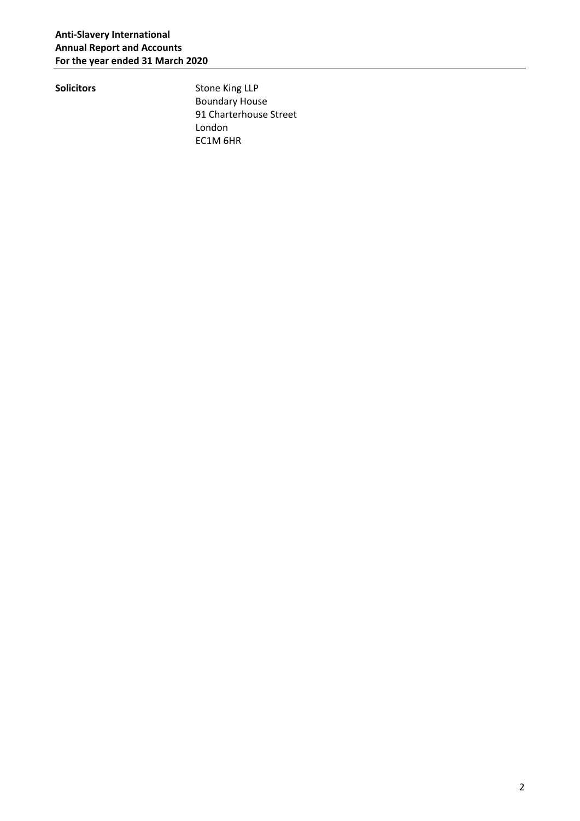**Solicitors** Stone King LLP Boundary House 91 Charterhouse Street London EC1M 6HR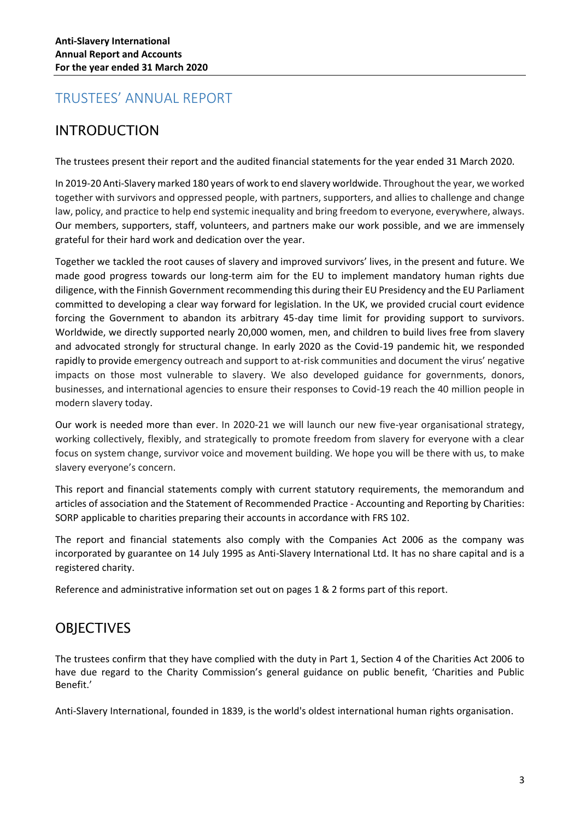# <span id="page-4-0"></span>TRUSTEES' ANNUAL REPORT

# <span id="page-4-1"></span>INTRODUCTION

The trustees present their report and the audited financial statements for the year ended 31 March 2020.

In 2019-20 Anti-Slavery marked 180 years of work to end slavery worldwide. Throughout the year, we worked together with survivors and oppressed people, with partners, supporters, and allies to challenge and change law, policy, and practice to help end systemic inequality and bring freedom to everyone, everywhere, always. Our members, supporters, staff, volunteers, and partners make our work possible, and we are immensely grateful for their hard work and dedication over the year.

Together we tackled the root causes of slavery and improved survivors' lives, in the present and future. We made good progress towards our long-term aim for the EU to implement mandatory human rights due diligence, with the Finnish Government recommending this during their EU Presidency and the EU Parliament committed to developing a clear way forward for legislation. In the UK, we provided crucial court evidence forcing the Government to abandon its arbitrary 45-day time limit for providing support to survivors. Worldwide, we directly supported nearly 20,000 women, men, and children to build lives free from slavery and advocated strongly for structural change. In early 2020 as the Covid-19 pandemic hit, we responded rapidly to provide emergency outreach and support to at-risk communities and document the virus' negative impacts on those most vulnerable to slavery. We also developed guidance for governments, donors, businesses, and international agencies to ensure their responses to Covid-19 reach the 40 million people in modern slavery today.

Our work is needed more than ever. In 2020-21 we will launch our new five-year organisational strategy, working collectively, flexibly, and strategically to promote freedom from slavery for everyone with a clear focus on system change, survivor voice and movement building. We hope you will be there with us, to make slavery everyone's concern.

This report and financial statements comply with current statutory requirements, the memorandum and articles of association and the Statement of Recommended Practice - Accounting and Reporting by Charities: SORP applicable to charities preparing their accounts in accordance with FRS 102.

The report and financial statements also comply with the Companies Act 2006 as the company was incorporated by guarantee on 14 July 1995 as Anti-Slavery International Ltd. It has no share capital and is a registered charity.

Reference and administrative information set out on pages 1 & 2 forms part of this report.

# <span id="page-4-2"></span>**OBJECTIVES**

The trustees confirm that they have complied with the duty in Part 1, Section 4 of the Charities Act 2006 to have due regard to the Charity Commission's general guidance on public benefit, 'Charities and Public Benefit.'

Anti-Slavery International, founded in 1839, is the world's oldest international human rights organisation.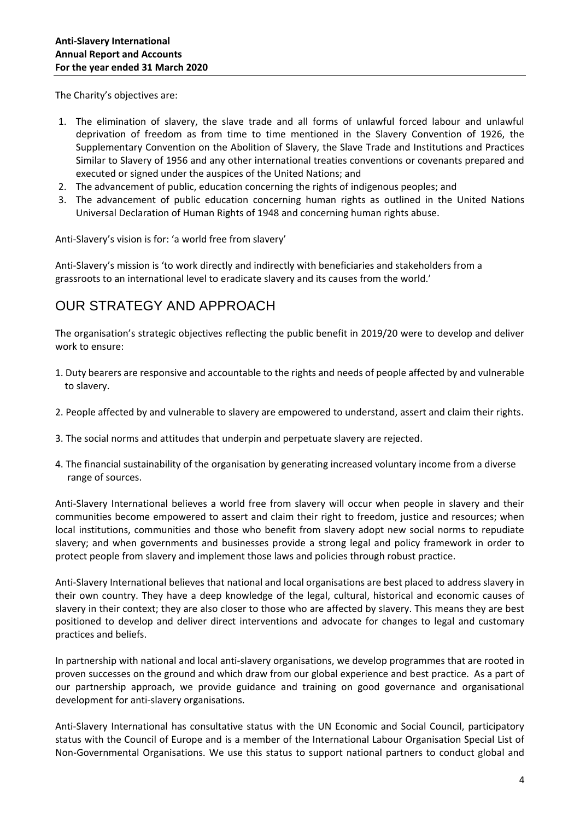The Charity's objectives are:

- 1. The elimination of slavery, the slave trade and all forms of unlawful forced labour and unlawful deprivation of freedom as from time to time mentioned in the Slavery Convention of 1926, the Supplementary Convention on the Abolition of Slavery, the Slave Trade and Institutions and Practices Similar to Slavery of 1956 and any other international treaties conventions or covenants prepared and executed or signed under the auspices of the United Nations; and
- 2. The advancement of public, education concerning the rights of indigenous peoples; and
- 3. The advancement of public education concerning human rights as outlined in the United Nations Universal Declaration of Human Rights of 1948 and concerning human rights abuse.

Anti-Slavery's vision is for: 'a world free from slavery'

Anti-Slavery's mission is 'to work directly and indirectly with beneficiaries and stakeholders from a grassroots to an international level to eradicate slavery and its causes from the world.'

# <span id="page-5-0"></span>OUR STRATEGY AND APPROACH

The organisation's strategic objectives reflecting the public benefit in 2019/20 were to develop and deliver work to ensure:

- 1. Duty bearers are responsive and accountable to the rights and needs of people affected by and vulnerable to slavery.
- 2. People affected by and vulnerable to slavery are empowered to understand, assert and claim their rights.
- 3. The social norms and attitudes that underpin and perpetuate slavery are rejected.
- 4. The financial sustainability of the organisation by generating increased voluntary income from a diverse range of sources.

Anti-Slavery International believes a world free from slavery will occur when people in slavery and their communities become empowered to assert and claim their right to freedom, justice and resources; when local institutions, communities and those who benefit from slavery adopt new social norms to repudiate slavery; and when governments and businesses provide a strong legal and policy framework in order to protect people from slavery and implement those laws and policies through robust practice.

Anti-Slavery International believes that national and local organisations are best placed to address slavery in their own country. They have a deep knowledge of the legal, cultural, historical and economic causes of slavery in their context; they are also closer to those who are affected by slavery. This means they are best positioned to develop and deliver direct interventions and advocate for changes to legal and customary practices and beliefs.

In partnership with national and local anti-slavery organisations, we develop programmes that are rooted in proven successes on the ground and which draw from our global experience and best practice. As a part of our partnership approach, we provide guidance and training on good governance and organisational development for anti-slavery organisations.

Anti-Slavery International has consultative status with the UN Economic and Social Council, participatory status with the Council of Europe and is a member of the International Labour Organisation Special List of Non-Governmental Organisations. We use this status to support national partners to conduct global and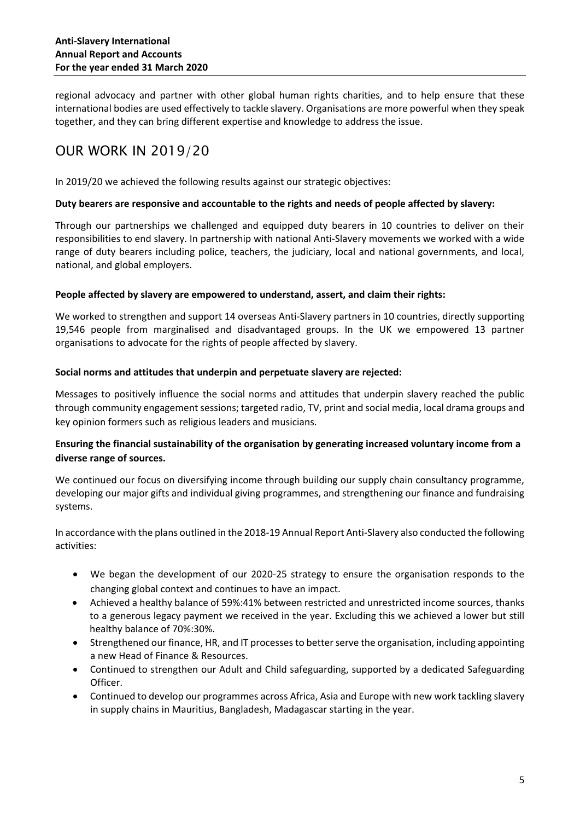regional advocacy and partner with other global human rights charities, and to help ensure that these international bodies are used effectively to tackle slavery. Organisations are more powerful when they speak together, and they can bring different expertise and knowledge to address the issue.

# <span id="page-6-0"></span>OUR WORK IN 2019/20

In 2019/20 we achieved the following results against our strategic objectives:

#### **Duty bearers are responsive and accountable to the rights and needs of people affected by slavery:**

Through our partnerships we challenged and equipped duty bearers in 10 countries to deliver on their responsibilities to end slavery. In partnership with national Anti-Slavery movements we worked with a wide range of duty bearers including police, teachers, the judiciary, local and national governments, and local, national, and global employers.

#### **People affected by slavery are empowered to understand, assert, and claim their rights:**

We worked to strengthen and support 14 overseas Anti-Slavery partners in 10 countries, directly supporting 19,546 people from marginalised and disadvantaged groups. In the UK we empowered 13 partner organisations to advocate for the rights of people affected by slavery.

#### **Social norms and attitudes that underpin and perpetuate slavery are rejected:**

Messages to positively influence the social norms and attitudes that underpin slavery reached the public through community engagement sessions; targeted radio, TV, print and social media, local drama groups and key opinion formers such as religious leaders and musicians.

#### **Ensuring the financial sustainability of the organisation by generating increased voluntary income from a diverse range of sources.**

We continued our focus on diversifying income through building our supply chain consultancy programme, developing our major gifts and individual giving programmes, and strengthening our finance and fundraising systems.

In accordance with the plans outlined in the 2018-19 Annual Report Anti-Slavery also conducted the following activities:

- We began the development of our 2020-25 strategy to ensure the organisation responds to the changing global context and continues to have an impact.
- Achieved a healthy balance of 59%:41% between restricted and unrestricted income sources, thanks to a generous legacy payment we received in the year. Excluding this we achieved a lower but still healthy balance of 70%:30%.
- <span id="page-6-1"></span>• Strengthened our finance, HR, and IT processes to better serve the organisation, including appointing a new Head of Finance & Resources.
- Continued to strengthen our Adult and Child safeguarding, supported by a dedicated Safeguarding Officer.
- Continued to develop our programmes across Africa, Asia and Europe with new work tackling slavery in supply chains in Mauritius, Bangladesh, Madagascar starting in the year.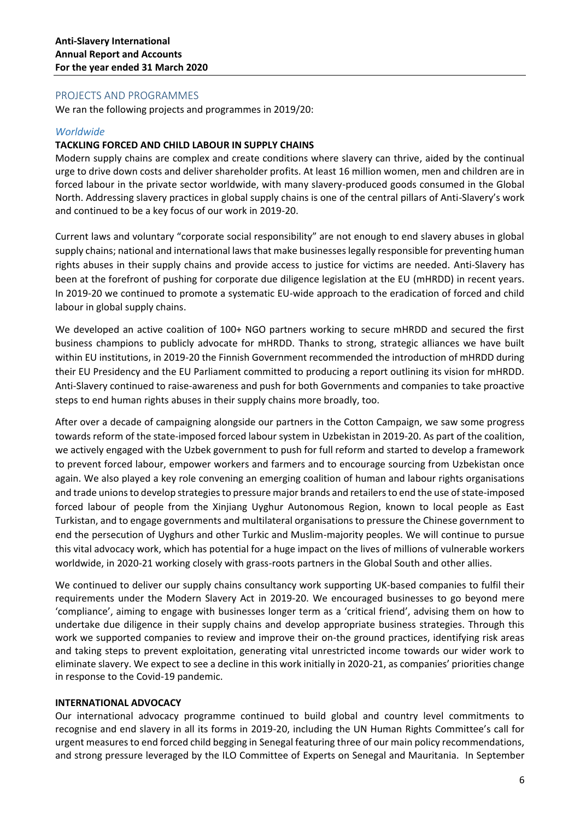#### PROJECTS AND PROGRAMMES

We ran the following projects and programmes in 2019/20:

#### *Worldwide*

#### **TACKLING FORCED AND CHILD LABOUR IN SUPPLY CHAINS**

Modern supply chains are complex and create conditions where slavery can thrive, aided by the continual urge to drive down costs and deliver shareholder profits. At least 16 million women, men and children are in forced labour in the private sector worldwide, with many slavery-produced goods consumed in the Global North. Addressing slavery practices in global supply chains is one of the central pillars of Anti-Slavery's work and continued to be a key focus of our work in 2019-20.

Current laws and voluntary "corporate social responsibility" are not enough to end slavery abuses in global supply chains; national and international laws that make businesses legally responsible for preventing human rights abuses in their supply chains and provide access to justice for victims are needed. Anti-Slavery has been at the forefront of pushing for corporate due diligence legislation at the EU (mHRDD) in recent years. In 2019-20 we continued to promote a systematic EU-wide approach to the eradication of forced and child labour in global supply chains.

We developed an active coalition of 100+ NGO partners working to secure mHRDD and secured the first business champions to publicly advocate for mHRDD. Thanks to strong, strategic alliances we have built within EU institutions, in 2019-20 the Finnish Government recommended the introduction of mHRDD during their EU Presidency and the EU Parliament committed to producing a report outlining its vision for mHRDD. Anti-Slavery continued to raise-awareness and push for both Governments and companies to take proactive steps to end human rights abuses in their supply chains more broadly, too.

After over a decade of campaigning alongside our partners in the Cotton Campaign, we saw some progress towards reform of the state-imposed forced labour system in Uzbekistan in 2019-20. As part of the coalition, we actively engaged with the Uzbek government to push for full reform and started to develop a framework to prevent forced labour, empower workers and farmers and to encourage sourcing from Uzbekistan once again. We also played a key role convening an emerging coalition of human and labour rights organisations and trade unionsto develop strategies to pressure major brands and retailers to end the use of state-imposed forced labour of people from the Xinjiang Uyghur Autonomous Region, known to local people as East Turkistan, and to engage governments and multilateral organisations to pressure the Chinese government to end the persecution of Uyghurs and other Turkic and Muslim-majority peoples. We will continue to pursue this vital advocacy work, which has potential for a huge impact on the lives of millions of vulnerable workers worldwide, in 2020-21 working closely with grass-roots partners in the Global South and other allies.

We continued to deliver our supply chains consultancy work supporting UK-based companies to fulfil their requirements under the Modern Slavery Act in 2019-20. We encouraged businesses to go beyond mere 'compliance', aiming to engage with businesses longer term as a 'critical friend', advising them on how to undertake due diligence in their supply chains and develop appropriate business strategies. Through this work we supported companies to review and improve their on-the ground practices, identifying risk areas and taking steps to prevent exploitation, generating vital unrestricted income towards our wider work to eliminate slavery. We expect to see a decline in this work initially in 2020-21, as companies' priorities change in response to the Covid-19 pandemic.

#### **INTERNATIONAL ADVOCACY**

Our international advocacy programme continued to build global and country level commitments to recognise and end slavery in all its forms in 2019-20, including the UN Human Rights Committee's call for urgent measures to end forced child begging in Senegal featuring three of our main policy recommendations, and strong pressure leveraged by the ILO Committee of Experts on Senegal and Mauritania. In September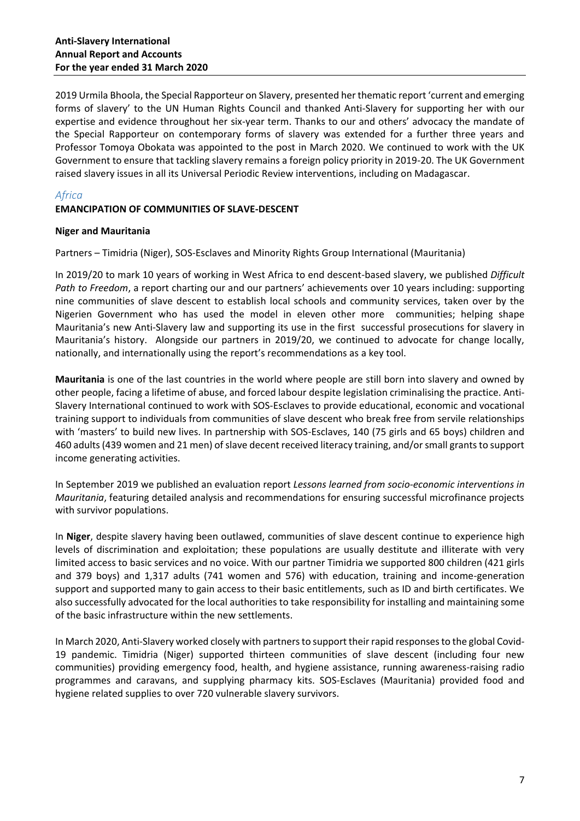2019 Urmila Bhoola, the Special Rapporteur on Slavery, presented her thematic report 'current and emerging forms of slavery' to the UN Human Rights Council and thanked Anti-Slavery for supporting her with our expertise and evidence throughout her six-year term. Thanks to our and others' advocacy the mandate of the Special Rapporteur on contemporary forms of slavery was extended for a further three years and Professor Tomoya Obokata was appointed to the post in March 2020. We continued to work with the UK Government to ensure that tackling slavery remains a foreign policy priority in 2019-20. The UK Government raised slavery issues in all its Universal Periodic Review interventions, including on Madagascar.

#### *Africa*

#### **EMANCIPATION OF COMMUNITIES OF SLAVE-DESCENT**

#### **Niger and Mauritania**

Partners – Timidria (Niger), SOS-Esclaves and Minority Rights Group International (Mauritania)

In 2019/20 to mark 10 years of working in West Africa to end descent-based slavery, we published *Difficult Path to Freedom*, a report charting our and our partners' achievements over 10 years including: supporting nine communities of slave descent to establish local schools and community services, taken over by the Nigerien Government who has used the model in eleven other more communities; helping shape Mauritania's new Anti-Slavery law and supporting its use in the first successful prosecutions for slavery in Mauritania's history. Alongside our partners in 2019/20, we continued to advocate for change locally, nationally, and internationally using the report's recommendations as a key tool.

**Mauritania** is one of the last countries in the world where people are still born into slavery and owned by other people, facing a lifetime of abuse, and forced labour despite legislation criminalising the practice. Anti-Slavery International continued to work with SOS-Esclaves to provide educational, economic and vocational training support to individuals from communities of slave descent who break free from servile relationships with 'masters' to build new lives. In partnership with SOS-Esclaves, 140 (75 girls and 65 boys) children and 460 adults (439 women and 21 men) of slave decent received literacy training, and/or small grants to support income generating activities.

In September 2019 we published an evaluation report *Lessons learned from socio-economic interventions in Mauritania*, featuring detailed analysis and recommendations for ensuring successful microfinance projects with survivor populations.

In **Niger**, despite slavery having been outlawed, communities of slave descent continue to experience high levels of discrimination and exploitation; these populations are usually destitute and illiterate with very limited access to basic services and no voice. With our partner Timidria we supported 800 children (421 girls and 379 boys) and 1,317 adults (741 women and 576) with education, training and income-generation support and supported many to gain access to their basic entitlements, such as ID and birth certificates. We also successfully advocated for the local authorities to take responsibility for installing and maintaining some of the basic infrastructure within the new settlements.

In March 2020, Anti-Slavery worked closely with partners to support their rapid responses to the global Covid-19 pandemic. Timidria (Niger) supported thirteen communities of slave descent (including four new communities) providing emergency food, health, and hygiene assistance, running awareness-raising radio programmes and caravans, and supplying pharmacy kits. SOS-Esclaves (Mauritania) provided food and hygiene related supplies to over 720 vulnerable slavery survivors.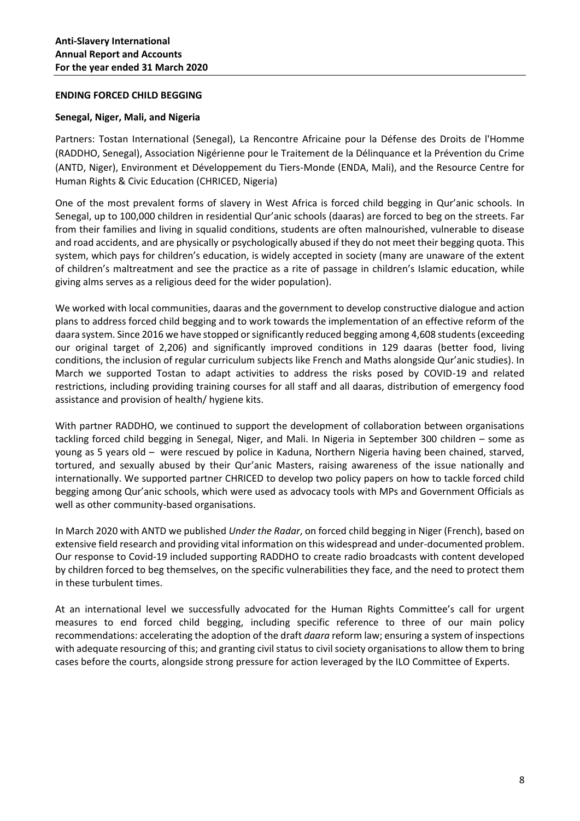#### **ENDING FORCED CHILD BEGGING**

#### **Senegal, Niger, Mali, and Nigeria**

Partners: Tostan International (Senegal), La Rencontre Africaine pour la Défense des Droits de l'Homme (RADDHO, Senegal), Association Nigérienne pour le Traitement de la Délinquance et la Prévention du Crime (ANTD, Niger), Environment et Développement du Tiers-Monde (ENDA, Mali), and the Resource Centre for Human Rights & Civic Education (CHRICED, Nigeria)

One of the most prevalent forms of slavery in West Africa is forced child begging in Qur'anic schools. In Senegal, up to 100,000 children in residential Qur'anic schools (daaras) are forced to beg on the streets. Far from their families and living in squalid conditions, students are often malnourished, vulnerable to disease and road accidents, and are physically or psychologically abused if they do not meet their begging quota. This system, which pays for children's education, is widely accepted in society (many are unaware of the extent of children's maltreatment and see the practice as a rite of passage in children's Islamic education, while giving alms serves as a religious deed for the wider population).

We worked with local communities, daaras and the government to develop constructive dialogue and action plans to address forced child begging and to work towards the implementation of an effective reform of the daara system. Since 2016 we have stopped or significantly reduced begging among 4,608 students(exceeding our original target of 2,206) and significantly improved conditions in 129 daaras (better food, living conditions, the inclusion of regular curriculum subjects like French and Maths alongside Qur'anic studies). In March we supported Tostan to adapt activities to address the risks posed by COVID-19 and related restrictions, including providing training courses for all staff and all daaras, distribution of emergency food assistance and provision of health/ hygiene kits.

With partner RADDHO, we continued to support the development of collaboration between organisations tackling forced child begging in Senegal, Niger, and Mali. In Nigeria in September 300 children – some as young as 5 years old – were rescued by police in Kaduna, Northern Nigeria having been chained, starved, tortured, and sexually abused by their Qur'anic Masters, raising awareness of the issue nationally and internationally. We supported partner CHRICED to develop two policy papers on how to tackle forced child begging among Qur'anic schools, which were used as advocacy tools with MPs and Government Officials as well as other community-based organisations.

In March 2020 with ANTD we published *Under the Radar*, on forced child begging in Niger (French), based on extensive field research and providing vital information on this widespread and under-documented problem. Our response to Covid-19 included supporting RADDHO to create radio broadcasts with content developed by children forced to beg themselves, on the specific vulnerabilities they face, and the need to protect them in these turbulent times.

At an international level we successfully advocated for the Human Rights Committee's call for urgent measures to end forced child begging, including specific reference to three of our main policy recommendations: accelerating the adoption of the draft *daara* reform law; ensuring a system of inspections with adequate resourcing of this; and granting civil status to civil society organisations to allow them to bring cases before the courts, alongside strong pressure for action leveraged by the ILO Committee of Experts.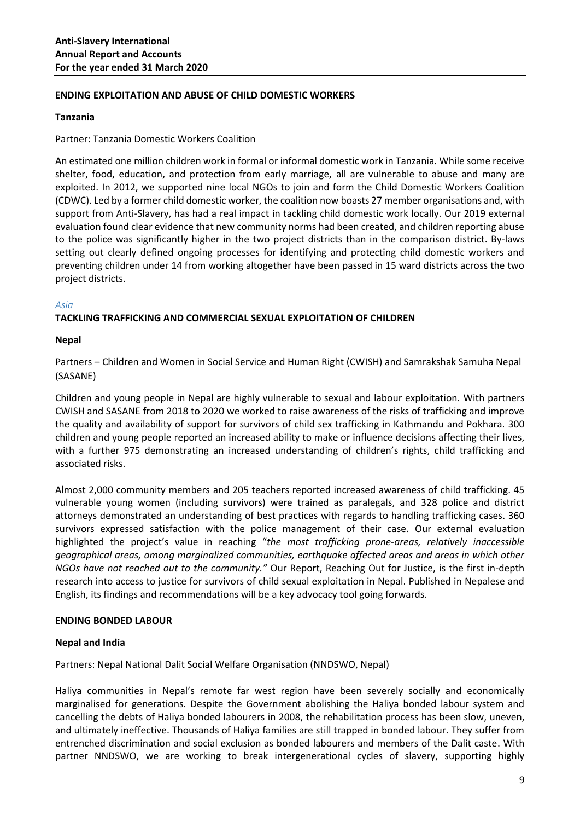#### **ENDING EXPLOITATION AND ABUSE OF CHILD DOMESTIC WORKERS**

#### **Tanzania**

#### Partner: Tanzania Domestic Workers Coalition

An estimated one million children work in formal or informal domestic work in Tanzania. While some receive shelter, food, education, and protection from early marriage, all are vulnerable to abuse and many are exploited. In 2012, we supported nine local NGOs to join and form the Child Domestic Workers Coalition (CDWC). Led by a former child domestic worker, the coalition now boasts 27 member organisations and, with support from Anti-Slavery, has had a real impact in tackling child domestic work locally. Our 2019 external evaluation found clear evidence that new community norms had been created, and children reporting abuse to the police was significantly higher in the two project districts than in the comparison district. By-laws setting out clearly defined ongoing processes for identifying and protecting child domestic workers and preventing children under 14 from working altogether have been passed in 15 ward districts across the two project districts.

#### *Asia*

#### **TACKLING TRAFFICKING AND COMMERCIAL SEXUAL EXPLOITATION OF CHILDREN**

#### **Nepal**

Partners – Children and Women in Social Service and Human Right (CWISH) and Samrakshak Samuha Nepal (SASANE)

Children and young people in Nepal are highly vulnerable to sexual and labour exploitation. With partners CWISH and SASANE from 2018 to 2020 we worked to raise awareness of the risks of trafficking and improve the quality and availability of support for survivors of child sex trafficking in Kathmandu and Pokhara. 300 children and young people reported an increased ability to make or influence decisions affecting their lives, with a further 975 demonstrating an increased understanding of children's rights, child trafficking and associated risks.

Almost 2,000 community members and 205 teachers reported increased awareness of child trafficking. 45 vulnerable young women (including survivors) were trained as paralegals, and 328 police and district attorneys demonstrated an understanding of best practices with regards to handling trafficking cases. 360 survivors expressed satisfaction with the police management of their case. Our external evaluation highlighted the project's value in reaching "*the most trafficking prone-areas, relatively inaccessible geographical areas, among marginalized communities, earthquake affected areas and areas in which other NGOs have not reached out to the community."* Our Report, Reaching Out for Justice, is the first in-depth research into access to justice for survivors of child sexual exploitation in Nepal. Published in Nepalese and English, its findings and recommendations will be a key advocacy tool going forwards.

#### **ENDING BONDED LABOUR**

#### **Nepal and India**

Partners: Nepal National Dalit Social Welfare Organisation (NNDSWO, Nepal)

Haliya communities in Nepal's remote far west region have been severely socially and economically marginalised for generations. Despite the Government abolishing the Haliya bonded labour system and cancelling the debts of Haliya bonded labourers in 2008, the rehabilitation process has been slow, uneven, and ultimately ineffective. Thousands of Haliya families are still trapped in bonded labour. They suffer from entrenched discrimination and social exclusion as bonded labourers and members of the Dalit caste. With partner NNDSWO, we are working to break intergenerational cycles of slavery, supporting highly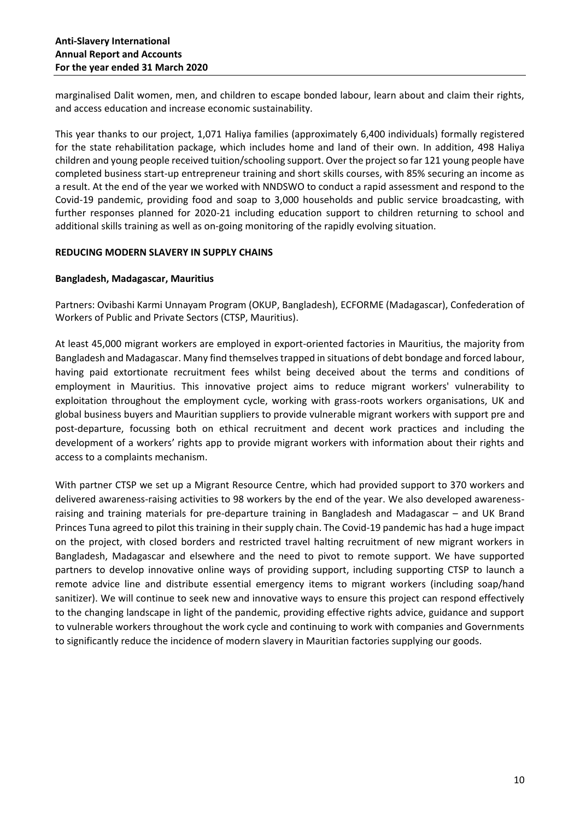marginalised Dalit women, men, and children to escape bonded labour, learn about and claim their rights, and access education and increase economic sustainability.

This year thanks to our project, 1,071 Haliya families (approximately 6,400 individuals) formally registered for the state rehabilitation package, which includes home and land of their own. In addition, 498 Haliya children and young people received tuition/schooling support. Over the project so far 121 young people have completed business start-up entrepreneur training and short skills courses, with 85% securing an income as a result. At the end of the year we worked with NNDSWO to conduct a rapid assessment and respond to the Covid-19 pandemic, providing food and soap to 3,000 households and public service broadcasting, with further responses planned for 2020-21 including education support to children returning to school and additional skills training as well as on-going monitoring of the rapidly evolving situation.

#### **REDUCING MODERN SLAVERY IN SUPPLY CHAINS**

#### **Bangladesh, Madagascar, Mauritius**

Partners: Ovibashi Karmi Unnayam Program (OKUP, Bangladesh), ECFORME (Madagascar), Confederation of Workers of Public and Private Sectors (CTSP, Mauritius).

At least 45,000 migrant workers are employed in export-oriented factories in Mauritius, the majority from Bangladesh and Madagascar. Many find themselves trapped in situations of debt bondage and forced labour, having paid extortionate recruitment fees whilst being deceived about the terms and conditions of employment in Mauritius. This innovative project aims to reduce migrant workers' vulnerability to exploitation throughout the employment cycle, working with grass-roots workers organisations, UK and global business buyers and Mauritian suppliers to provide vulnerable migrant workers with support pre and post-departure, focussing both on ethical recruitment and decent work practices and including the development of a workers' rights app to provide migrant workers with information about their rights and access to a complaints mechanism.

With partner CTSP we set up a Migrant Resource Centre, which had provided support to 370 workers and delivered awareness-raising activities to 98 workers by the end of the year. We also developed awarenessraising and training materials for pre-departure training in Bangladesh and Madagascar – and UK Brand Princes Tuna agreed to pilot this training in their supply chain. The Covid-19 pandemic has had a huge impact on the project, with closed borders and restricted travel halting recruitment of new migrant workers in Bangladesh, Madagascar and elsewhere and the need to pivot to remote support. We have supported partners to develop innovative online ways of providing support, including supporting CTSP to launch a remote advice line and distribute essential emergency items to migrant workers (including soap/hand sanitizer). We will continue to seek new and innovative ways to ensure this project can respond effectively to the changing landscape in light of the pandemic, providing effective rights advice, guidance and support to vulnerable workers throughout the work cycle and continuing to work with companies and Governments to significantly reduce the incidence of modern slavery in Mauritian factories supplying our goods.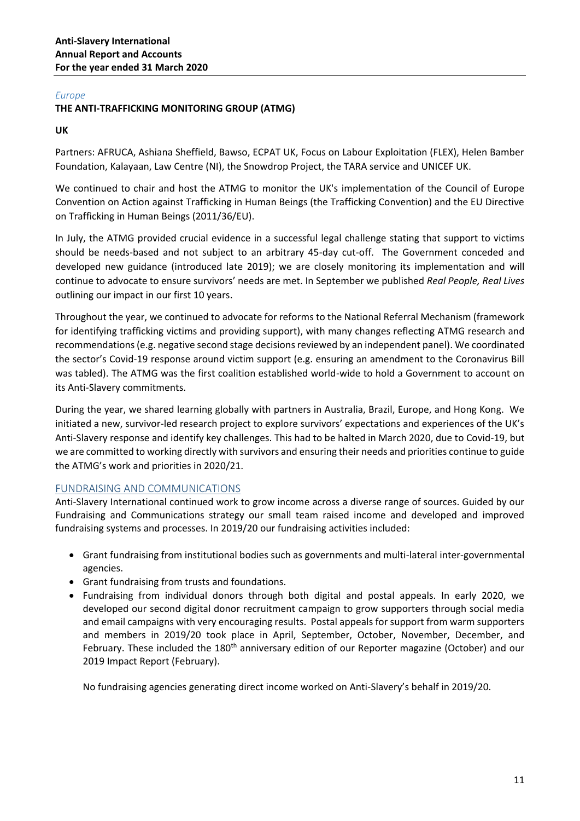#### *Europe*

#### **THE ANTI-TRAFFICKING MONITORING GROUP (ATMG)**

**UK**

Partners: AFRUCA, Ashiana Sheffield, Bawso, ECPAT UK, Focus on Labour Exploitation (FLEX), Helen Bamber Foundation, Kalayaan, Law Centre (NI), the Snowdrop Project, the TARA service and UNICEF UK.

We continued to chair and host the ATMG to monitor the UK's implementation of the Council of Europe Convention on Action against Trafficking in Human Beings (the Trafficking Convention) and the EU Directive on Trafficking in Human Beings (2011/36/EU).

In July, the ATMG provided crucial evidence in a successful legal challenge stating that support to victims should be needs-based and not subject to an arbitrary 45-day cut-off. The Government conceded and developed new guidance (introduced late 2019); we are closely monitoring its implementation and will continue to advocate to ensure survivors' needs are met. In September we published *Real People, Real Lives* outlining our impact in our first 10 years.

Throughout the year, we continued to advocate for reforms to the National Referral Mechanism (framework for identifying trafficking victims and providing support), with many changes reflecting ATMG research and recommendations(e.g. negative second stage decisions reviewed by an independent panel). We coordinated the sector's Covid-19 response around victim support (e.g. ensuring an amendment to the Coronavirus Bill was tabled). The ATMG was the first coalition established world-wide to hold a Government to account on its Anti-Slavery commitments.

During the year, we shared learning globally with partners in Australia, Brazil, Europe, and Hong Kong. We initiated a new, survivor-led research project to explore survivors' expectations and experiences of the UK's Anti-Slavery response and identify key challenges. This had to be halted in March 2020, due to Covid-19, but we are committed to working directly with survivors and ensuring their needs and priorities continue to guide the ATMG's work and priorities in 2020/21.

#### <span id="page-12-0"></span>FUNDRAISING AND COMMUNICATIONS

Anti-Slavery International continued work to grow income across a diverse range of sources. Guided by our Fundraising and Communications strategy our small team raised income and developed and improved fundraising systems and processes. In 2019/20 our fundraising activities included:

- Grant fundraising from institutional bodies such as governments and multi-lateral inter-governmental agencies.
- Grant fundraising from trusts and foundations.
- Fundraising from individual donors through both digital and postal appeals. In early 2020, we developed our second digital donor recruitment campaign to grow supporters through social media and email campaigns with very encouraging results. Postal appeals for support from warm supporters and members in 2019/20 took place in April, September, October, November, December, and February. These included the 180<sup>th</sup> anniversary edition of our Reporter magazine (October) and our 2019 Impact Report (February).

No fundraising agencies generating direct income worked on Anti-Slavery's behalf in 2019/20.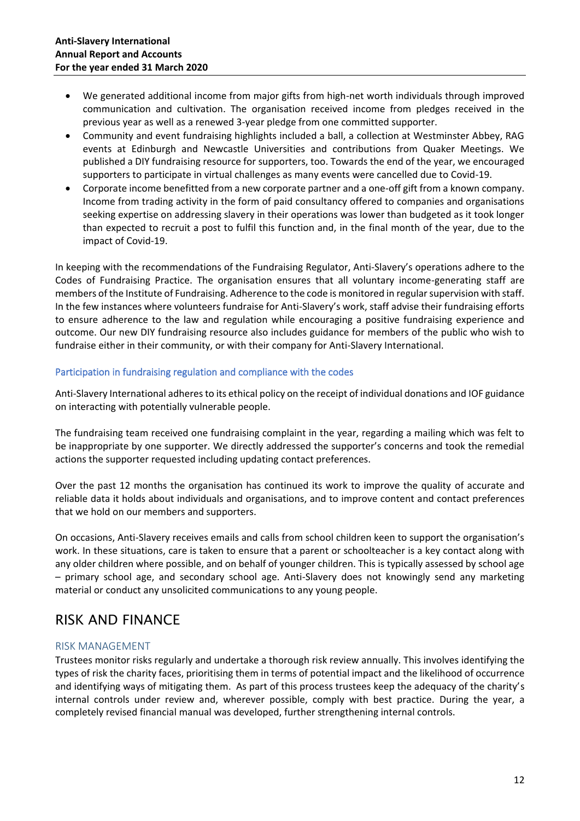- We generated additional income from major gifts from high-net worth individuals through improved communication and cultivation. The organisation received income from pledges received in the previous year as well as a renewed 3-year pledge from one committed supporter.
- Community and event fundraising highlights included a ball, a collection at Westminster Abbey, RAG events at Edinburgh and Newcastle Universities and contributions from Quaker Meetings. We published a DIY fundraising resource for supporters, too. Towards the end of the year, we encouraged supporters to participate in virtual challenges as many events were cancelled due to Covid-19.
- Corporate income benefitted from a new corporate partner and a one-off gift from a known company. Income from trading activity in the form of paid consultancy offered to companies and organisations seeking expertise on addressing slavery in their operations was lower than budgeted as it took longer than expected to recruit a post to fulfil this function and, in the final month of the year, due to the impact of Covid-19.

In keeping with the recommendations of the Fundraising Regulator, Anti-Slavery's operations adhere to the Codes of Fundraising Practice. The organisation ensures that all voluntary income-generating staff are members of the Institute of Fundraising. Adherence to the code is monitored in regular supervision with staff. In the few instances where volunteers fundraise for Anti-Slavery's work, staff advise their fundraising efforts to ensure adherence to the law and regulation while encouraging a positive fundraising experience and outcome. Our new DIY fundraising resource also includes guidance for members of the public who wish to fundraise either in their community, or with their company for Anti-Slavery International.

#### Participation in fundraising regulation and compliance with the codes

Anti-Slavery International adheres to its ethical policy on the receipt of individual donations and IOF guidance on interacting with potentially vulnerable people.

The fundraising team received one fundraising complaint in the year, regarding a mailing which was felt to be inappropriate by one supporter. We directly addressed the supporter's concerns and took the remedial actions the supporter requested including updating contact preferences.

Over the past 12 months the organisation has continued its work to improve the quality of accurate and reliable data it holds about individuals and organisations, and to improve content and contact preferences that we hold on our members and supporters.

On occasions, Anti-Slavery receives emails and calls from school children keen to support the organisation's work. In these situations, care is taken to ensure that a parent or schoolteacher is a key contact along with any older children where possible, and on behalf of younger children. This is typically assessed by school age – primary school age, and secondary school age. Anti-Slavery does not knowingly send any marketing material or conduct any unsolicited communications to any young people.

### <span id="page-13-0"></span>RISK AND FINANCE

#### <span id="page-13-1"></span>RISK MANAGEMENT

Trustees monitor risks regularly and undertake a thorough risk review annually. This involves identifying the types of risk the charity faces, prioritising them in terms of potential impact and the likelihood of occurrence and identifying ways of mitigating them. As part of this process trustees keep the adequacy of the charity's internal controls under review and, wherever possible, comply with best practice. During the year, a completely revised financial manual was developed, further strengthening internal controls.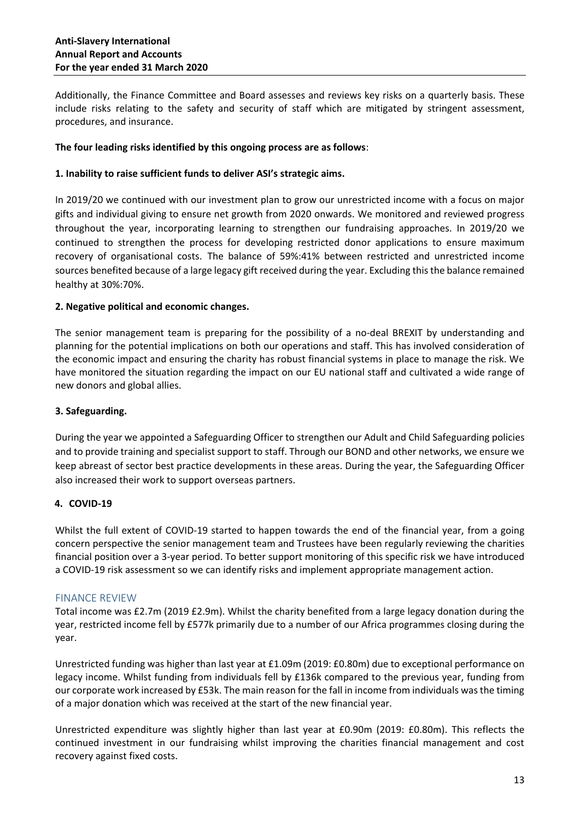Additionally, the Finance Committee and Board assesses and reviews key risks on a quarterly basis. These include risks relating to the safety and security of staff which are mitigated by stringent assessment, procedures, and insurance.

#### **The four leading risks identified by this ongoing process are as follows**:

#### **1. Inability to raise sufficient funds to deliver ASI's strategic aims.**

In 2019/20 we continued with our investment plan to grow our unrestricted income with a focus on major gifts and individual giving to ensure net growth from 2020 onwards. We monitored and reviewed progress throughout the year, incorporating learning to strengthen our fundraising approaches. In 2019/20 we continued to strengthen the process for developing restricted donor applications to ensure maximum recovery of organisational costs. The balance of 59%:41% between restricted and unrestricted income sources benefited because of a large legacy gift received during the year. Excluding this the balance remained healthy at 30%:70%.

#### **2. Negative political and economic changes.**

The senior management team is preparing for the possibility of a no-deal BREXIT by understanding and planning for the potential implications on both our operations and staff. This has involved consideration of the economic impact and ensuring the charity has robust financial systems in place to manage the risk. We have monitored the situation regarding the impact on our EU national staff and cultivated a wide range of new donors and global allies.

#### **3. Safeguarding.**

During the year we appointed a Safeguarding Officer to strengthen our Adult and Child Safeguarding policies and to provide training and specialist support to staff. Through our BOND and other networks, we ensure we keep abreast of sector best practice developments in these areas. During the year, the Safeguarding Officer also increased their work to support overseas partners.

#### **4. COVID-19**

Whilst the full extent of COVID-19 started to happen towards the end of the financial year, from a going concern perspective the senior management team and Trustees have been regularly reviewing the charities financial position over a 3-year period. To better support monitoring of this specific risk we have introduced a COVID-19 risk assessment so we can identify risks and implement appropriate management action.

#### <span id="page-14-0"></span>FINANCE REVIEW

Total income was £2.7m (2019 £2.9m). Whilst the charity benefited from a large legacy donation during the year, restricted income fell by £577k primarily due to a number of our Africa programmes closing during the year.

Unrestricted funding was higher than last year at £1.09m (2019: £0.80m) due to exceptional performance on legacy income. Whilst funding from individuals fell by £136k compared to the previous year, funding from our corporate work increased by £53k. The main reason for the fall in income from individuals was the timing of a major donation which was received at the start of the new financial year.

Unrestricted expenditure was slightly higher than last year at £0.90m (2019: £0.80m). This reflects the continued investment in our fundraising whilst improving the charities financial management and cost recovery against fixed costs.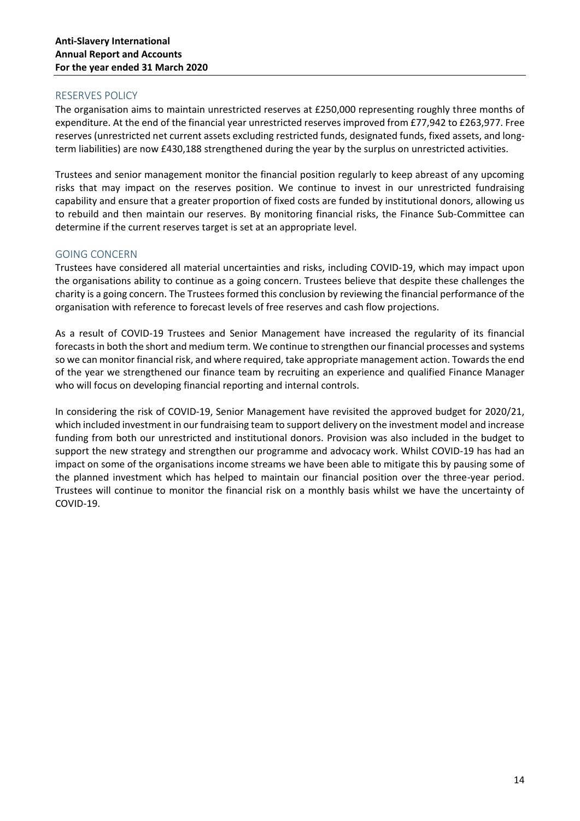#### <span id="page-15-0"></span>RESERVES POLICY

The organisation aims to maintain unrestricted reserves at £250,000 representing roughly three months of expenditure. At the end of the financial year unrestricted reserves improved from £77,942 to £263,977. Free reserves (unrestricted net current assets excluding restricted funds, designated funds, fixed assets, and longterm liabilities) are now £430,188 strengthened during the year by the surplus on unrestricted activities.

Trustees and senior management monitor the financial position regularly to keep abreast of any upcoming risks that may impact on the reserves position. We continue to invest in our unrestricted fundraising capability and ensure that a greater proportion of fixed costs are funded by institutional donors, allowing us to rebuild and then maintain our reserves. By monitoring financial risks, the Finance Sub-Committee can determine if the current reserves target is set at an appropriate level.

#### <span id="page-15-1"></span>GOING CONCERN

Trustees have considered all material uncertainties and risks, including COVID-19, which may impact upon the organisations ability to continue as a going concern. Trustees believe that despite these challenges the charity is a going concern. The Trustees formed this conclusion by reviewing the financial performance of the organisation with reference to forecast levels of free reserves and cash flow projections.

As a result of COVID-19 Trustees and Senior Management have increased the regularity of its financial forecasts in both the short and medium term. We continue to strengthen our financial processes and systems so we can monitor financial risk, and where required, take appropriate management action. Towards the end of the year we strengthened our finance team by recruiting an experience and qualified Finance Manager who will focus on developing financial reporting and internal controls.

<span id="page-15-2"></span>In considering the risk of COVID-19, Senior Management have revisited the approved budget for 2020/21, which included investment in our fundraising team to support delivery on the investment model and increase funding from both our unrestricted and institutional donors. Provision was also included in the budget to support the new strategy and strengthen our programme and advocacy work. Whilst COVID-19 has had an impact on some of the organisations income streams we have been able to mitigate this by pausing some of the planned investment which has helped to maintain our financial position over the three-year period. Trustees will continue to monitor the financial risk on a monthly basis whilst we have the uncertainty of COVID-19.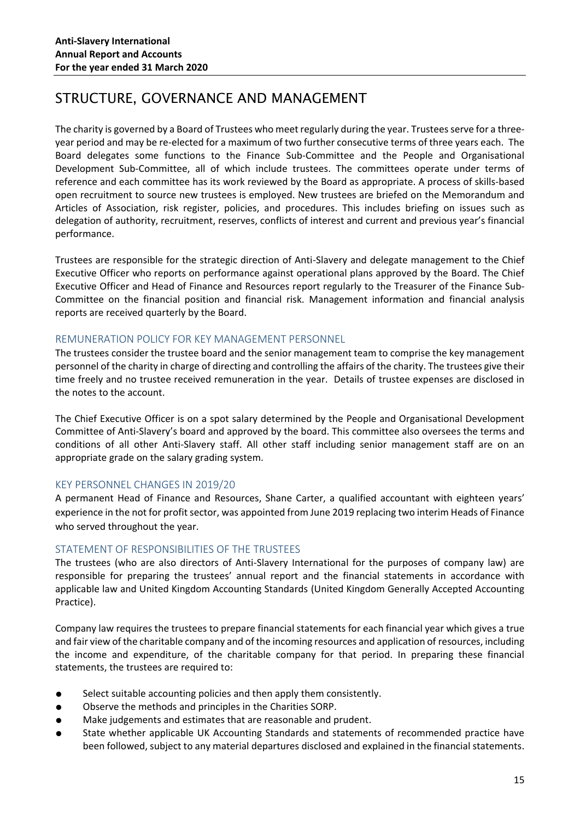# STRUCTURE, GOVERNANCE AND MANAGEMENT

The charity is governed by a Board of Trustees who meet regularly during the year. Trustees serve for a threeyear period and may be re-elected for a maximum of two further consecutive terms of three years each. The Board delegates some functions to the Finance Sub-Committee and the People and Organisational Development Sub-Committee, all of which include trustees. The committees operate under terms of reference and each committee has its work reviewed by the Board as appropriate. A process of skills-based open recruitment to source new trustees is employed. New trustees are briefed on the Memorandum and Articles of Association, risk register, policies, and procedures. This includes briefing on issues such as delegation of authority, recruitment, reserves, conflicts of interest and current and previous year's financial performance.

Trustees are responsible for the strategic direction of Anti-Slavery and delegate management to the Chief Executive Officer who reports on performance against operational plans approved by the Board. The Chief Executive Officer and Head of Finance and Resources report regularly to the Treasurer of the Finance Sub-Committee on the financial position and financial risk. Management information and financial analysis reports are received quarterly by the Board.

#### <span id="page-16-0"></span>REMUNERATION POLICY FOR KEY MANAGEMENT PERSONNEL

The trustees consider the trustee board and the senior management team to comprise the key management personnel of the charity in charge of directing and controlling the affairs of the charity. The trustees give their time freely and no trustee received remuneration in the year. Details of trustee expenses are disclosed in the notes to the account.

The Chief Executive Officer is on a spot salary determined by the People and Organisational Development Committee of Anti-Slavery's board and approved by the board. This committee also oversees the terms and conditions of all other Anti-Slavery staff. All other staff including senior management staff are on an appropriate grade on the salary grading system.

#### <span id="page-16-1"></span>KEY PERSONNEL CHANGES IN 2019/20

A permanent Head of Finance and Resources, Shane Carter, a qualified accountant with eighteen years' experience in the not for profit sector, was appointed from June 2019 replacing two interim Heads of Finance who served throughout the year.

#### <span id="page-16-2"></span>STATEMENT OF RESPONSIBILITIES OF THE TRUSTEES

The trustees (who are also directors of Anti-Slavery International for the purposes of company law) are responsible for preparing the trustees' annual report and the financial statements in accordance with applicable law and United Kingdom Accounting Standards (United Kingdom Generally Accepted Accounting Practice).

Company law requires the trustees to prepare financial statements for each financial year which gives a true and fair view of the charitable company and of the incoming resources and application of resources, including the income and expenditure, of the charitable company for that period. In preparing these financial statements, the trustees are required to:

- Select suitable accounting policies and then apply them consistently.
- Observe the methods and principles in the Charities SORP.
- Make judgements and estimates that are reasonable and prudent.
- State whether applicable UK Accounting Standards and statements of recommended practice have been followed, subject to any material departures disclosed and explained in the financial statements.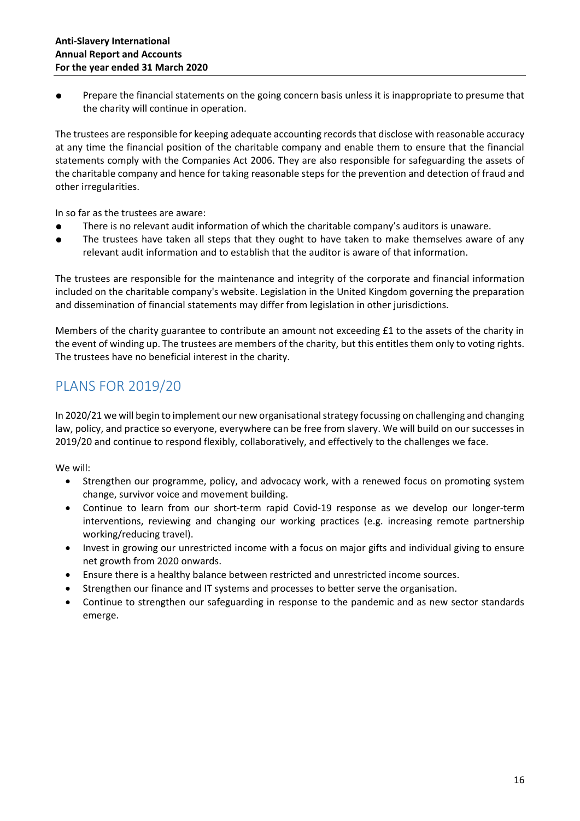● Prepare the financial statements on the going concern basis unless it is inappropriate to presume that the charity will continue in operation.

The trustees are responsible for keeping adequate accounting records that disclose with reasonable accuracy at any time the financial position of the charitable company and enable them to ensure that the financial statements comply with the Companies Act 2006. They are also responsible for safeguarding the assets of the charitable company and hence for taking reasonable steps for the prevention and detection of fraud and other irregularities.

In so far as the trustees are aware:

- There is no relevant audit information of which the charitable company's auditors is unaware.
- The trustees have taken all steps that they ought to have taken to make themselves aware of any relevant audit information and to establish that the auditor is aware of that information.

The trustees are responsible for the maintenance and integrity of the corporate and financial information included on the charitable company's website. Legislation in the United Kingdom governing the preparation and dissemination of financial statements may differ from legislation in other jurisdictions.

Members of the charity guarantee to contribute an amount not exceeding £1 to the assets of the charity in the event of winding up. The trustees are members of the charity, but this entitles them only to voting rights. The trustees have no beneficial interest in the charity.

# <span id="page-17-0"></span>PLANS FOR 2019/20

<span id="page-17-1"></span>In 2020/21 we will begin to implement our new organisational strategy focussing on challenging and changing law, policy, and practice so everyone, everywhere can be free from slavery. We will build on our successes in 2019/20 and continue to respond flexibly, collaboratively, and effectively to the challenges we face.

We will:

- Strengthen our programme, policy, and advocacy work, with a renewed focus on promoting system change, survivor voice and movement building.
- Continue to learn from our short-term rapid Covid-19 response as we develop our longer-term interventions, reviewing and changing our working practices (e.g. increasing remote partnership working/reducing travel).
- Invest in growing our unrestricted income with a focus on major gifts and individual giving to ensure net growth from 2020 onwards.
- Ensure there is a healthy balance between restricted and unrestricted income sources.
- Strengthen our finance and IT systems and processes to better serve the organisation.
- Continue to strengthen our safeguarding in response to the pandemic and as new sector standards emerge.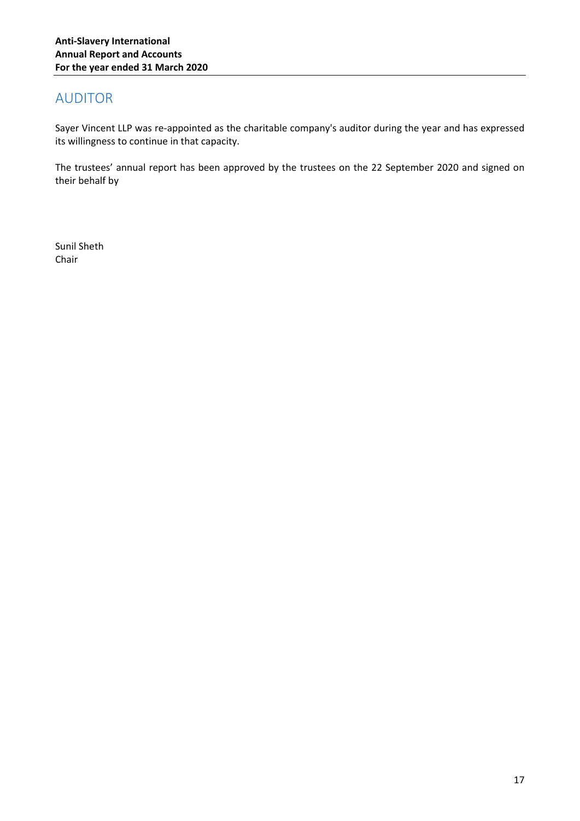# AUDITOR

Sayer Vincent LLP was re-appointed as the charitable company's auditor during the year and has expressed its willingness to continue in that capacity.

The trustees' annual report has been approved by the trustees on the 22 September 2020 and signed on their behalf by

Sunil Sheth Chair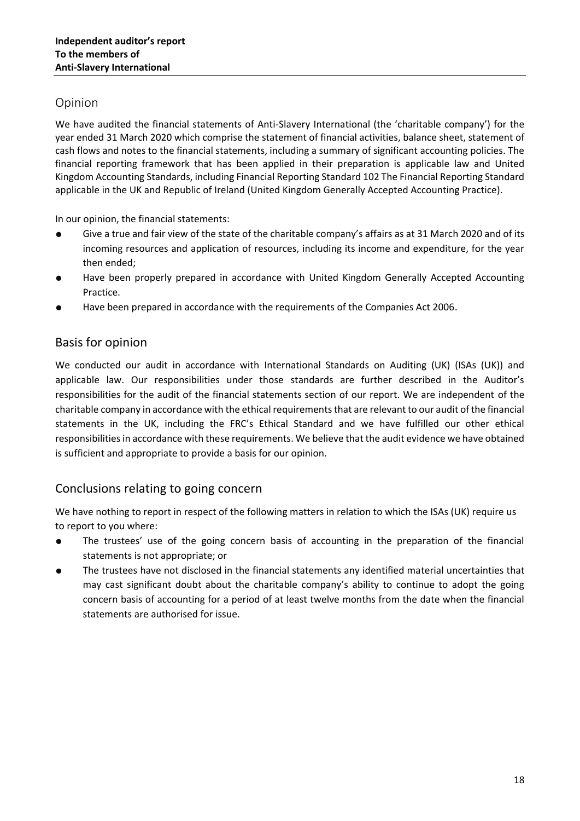### <span id="page-19-0"></span>Opinion

We have audited the financial statements of Anti-Slavery International (the 'charitable company') for the year ended 31 March 2020 which comprise the statement of financial activities, balance sheet, statement of cash flows and notes to the financial statements, including a summary of significant accounting policies. The financial reporting framework that has been applied in their preparation is applicable law and United Kingdom Accounting Standards, including Financial Reporting Standard 102 The Financial Reporting Standard applicable in the UK and Republic of Ireland (United Kingdom Generally Accepted Accounting Practice).

In our opinion, the financial statements:

- Give a true and fair view of the state of the charitable company's affairs as at 31 March 2020 and of its incoming resources and application of resources, including its income and expenditure, for the year then ended;
- Have been properly prepared in accordance with United Kingdom Generally Accepted Accounting Practice.
- Have been prepared in accordance with the requirements of the Companies Act 2006.

### <span id="page-19-1"></span>Basis for opinion

We conducted our audit in accordance with International Standards on Auditing (UK) (ISAs (UK)) and applicable law. Our responsibilities under those standards are further described in the Auditor's responsibilities for the audit of the financial statements section of our report. We are independent of the charitable company in accordance with the ethical requirements that are relevant to our audit of the financial statements in the UK, including the FRC's Ethical Standard and we have fulfilled our other ethical responsibilities in accordance with these requirements. We believe that the audit evidence we have obtained is sufficient and appropriate to provide a basis for our opinion.

### <span id="page-19-2"></span>Conclusions relating to going concern

We have nothing to report in respect of the following matters in relation to which the ISAs (UK) require us to report to you where:

- The trustees' use of the going concern basis of accounting in the preparation of the financial statements is not appropriate; or
- The trustees have not disclosed in the financial statements any identified material uncertainties that may cast significant doubt about the charitable company's ability to continue to adopt the going concern basis of accounting for a period of at least twelve months from the date when the financial statements are authorised for issue.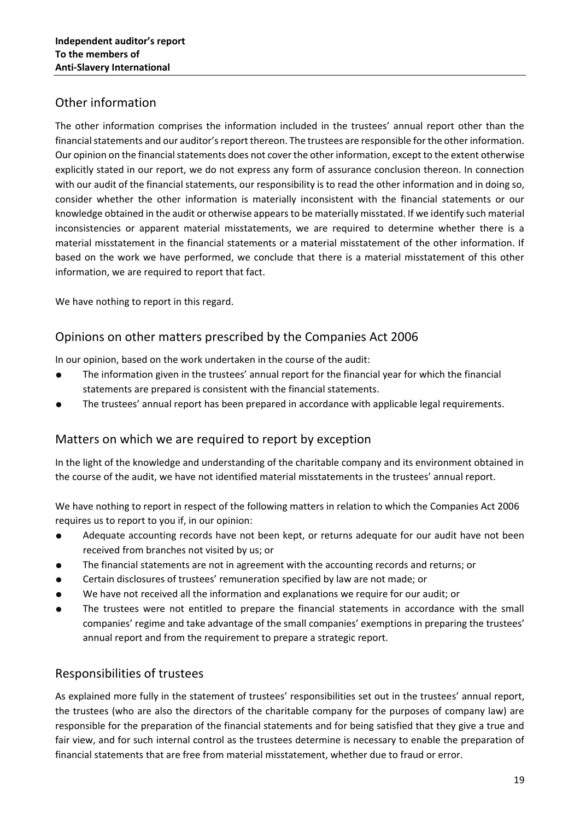### <span id="page-20-0"></span>Other information

The other information comprises the information included in the trustees' annual report other than the financial statements and our auditor's report thereon. The trustees are responsible for the other information. Our opinion on the financial statements does not cover the other information, except to the extent otherwise explicitly stated in our report, we do not express any form of assurance conclusion thereon. In connection with our audit of the financial statements, our responsibility is to read the other information and in doing so, consider whether the other information is materially inconsistent with the financial statements or our knowledge obtained in the audit or otherwise appears to be materially misstated. If we identify such material inconsistencies or apparent material misstatements, we are required to determine whether there is a material misstatement in the financial statements or a material misstatement of the other information. If based on the work we have performed, we conclude that there is a material misstatement of this other information, we are required to report that fact.

We have nothing to report in this regard.

### <span id="page-20-1"></span>Opinions on other matters prescribed by the Companies Act 2006

In our opinion, based on the work undertaken in the course of the audit:

- The information given in the trustees' annual report for the financial year for which the financial statements are prepared is consistent with the financial statements.
- The trustees' annual report has been prepared in accordance with applicable legal requirements.

### <span id="page-20-2"></span>Matters on which we are required to report by exception

In the light of the knowledge and understanding of the charitable company and its environment obtained in the course of the audit, we have not identified material misstatements in the trustees' annual report.

We have nothing to report in respect of the following matters in relation to which the Companies Act 2006 requires us to report to you if, in our opinion:

- Adequate accounting records have not been kept, or returns adequate for our audit have not been received from branches not visited by us; or
- The financial statements are not in agreement with the accounting records and returns; or
- Certain disclosures of trustees' remuneration specified by law are not made; or
- We have not received all the information and explanations we require for our audit; or
- The trustees were not entitled to prepare the financial statements in accordance with the small companies' regime and take advantage of the small companies' exemptions in preparing the trustees' annual report and from the requirement to prepare a strategic report.

### <span id="page-20-3"></span>Responsibilities of trustees

As explained more fully in the statement of trustees' responsibilities set out in the trustees' annual report, the trustees (who are also the directors of the charitable company for the purposes of company law) are responsible for the preparation of the financial statements and for being satisfied that they give a true and fair view, and for such internal control as the trustees determine is necessary to enable the preparation of financial statements that are free from material misstatement, whether due to fraud or error.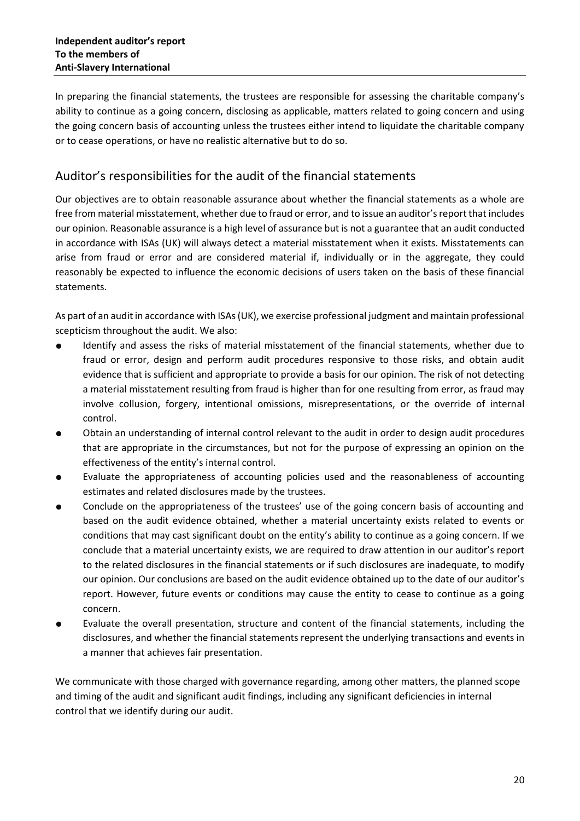In preparing the financial statements, the trustees are responsible for assessing the charitable company's ability to continue as a going concern, disclosing as applicable, matters related to going concern and using the going concern basis of accounting unless the trustees either intend to liquidate the charitable company or to cease operations, or have no realistic alternative but to do so.

### <span id="page-21-0"></span>Auditor's responsibilities for the audit of the financial statements

Our objectives are to obtain reasonable assurance about whether the financial statements as a whole are free from material misstatement, whether due to fraud or error, and to issue an auditor's report that includes our opinion. Reasonable assurance is a high level of assurance but is not a guarantee that an audit conducted in accordance with ISAs (UK) will always detect a material misstatement when it exists. Misstatements can arise from fraud or error and are considered material if, individually or in the aggregate, they could reasonably be expected to influence the economic decisions of users taken on the basis of these financial statements.

As part of an audit in accordance with ISAs (UK), we exercise professional judgment and maintain professional scepticism throughout the audit. We also:

- Identify and assess the risks of material misstatement of the financial statements, whether due to fraud or error, design and perform audit procedures responsive to those risks, and obtain audit evidence that is sufficient and appropriate to provide a basis for our opinion. The risk of not detecting a material misstatement resulting from fraud is higher than for one resulting from error, as fraud may involve collusion, forgery, intentional omissions, misrepresentations, or the override of internal control.
- Obtain an understanding of internal control relevant to the audit in order to design audit procedures that are appropriate in the circumstances, but not for the purpose of expressing an opinion on the effectiveness of the entity's internal control.
- Evaluate the appropriateness of accounting policies used and the reasonableness of accounting estimates and related disclosures made by the trustees.
- Conclude on the appropriateness of the trustees' use of the going concern basis of accounting and based on the audit evidence obtained, whether a material uncertainty exists related to events or conditions that may cast significant doubt on the entity's ability to continue as a going concern. If we conclude that a material uncertainty exists, we are required to draw attention in our auditor's report to the related disclosures in the financial statements or if such disclosures are inadequate, to modify our opinion. Our conclusions are based on the audit evidence obtained up to the date of our auditor's report. However, future events or conditions may cause the entity to cease to continue as a going concern.
- Evaluate the overall presentation, structure and content of the financial statements, including the disclosures, and whether the financial statements represent the underlying transactions and events in a manner that achieves fair presentation.

We communicate with those charged with governance regarding, among other matters, the planned scope and timing of the audit and significant audit findings, including any significant deficiencies in internal control that we identify during our audit.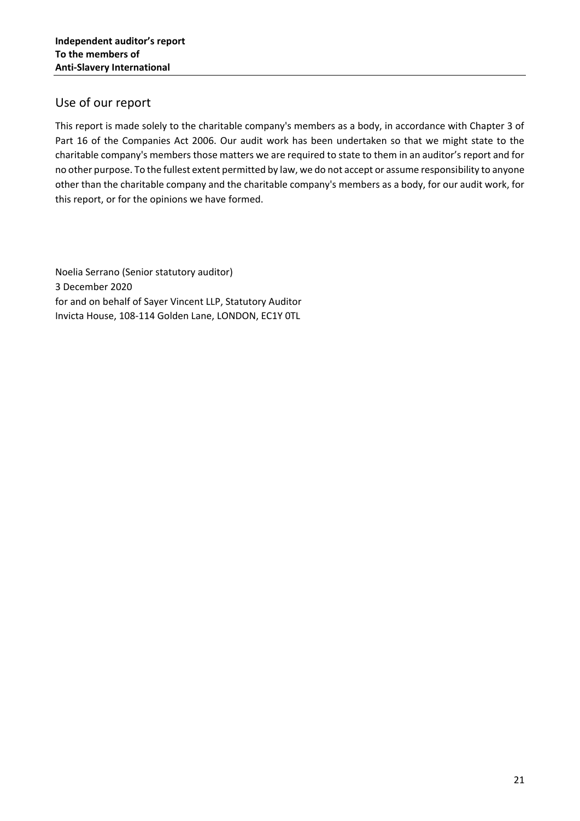### <span id="page-22-0"></span>Use of our report

This report is made solely to the charitable company's members as a body, in accordance with Chapter 3 of Part 16 of the Companies Act 2006. Our audit work has been undertaken so that we might state to the charitable company's members those matters we are required to state to them in an auditor's report and for no other purpose. To the fullest extent permitted by law, we do not accept or assume responsibility to anyone other than the charitable company and the charitable company's members as a body, for our audit work, for this report, or for the opinions we have formed.

Noelia Serrano (Senior statutory auditor) 3 December 2020 for and on behalf of Sayer Vincent LLP, Statutory Auditor Invicta House, 108-114 Golden Lane, LONDON, EC1Y 0TL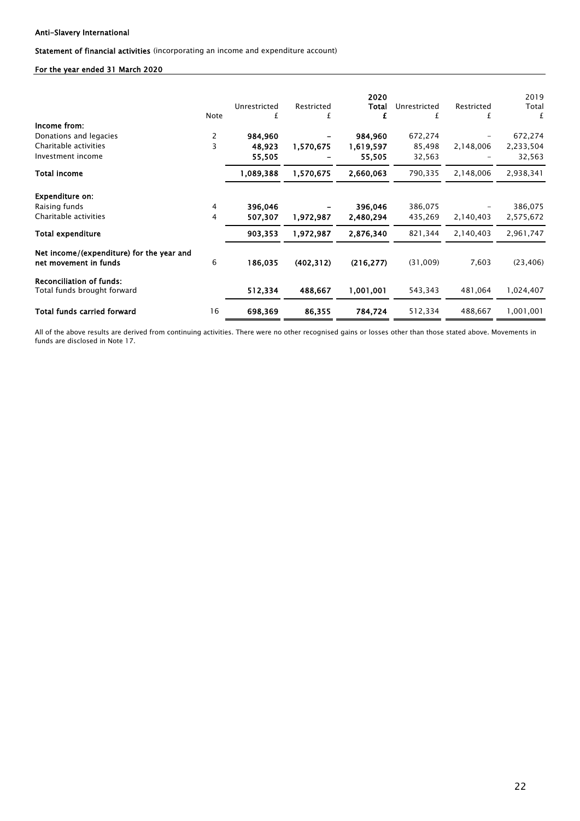### Statement of financial activities (incorporating an income and expenditure account)

#### For the year ended 31 March 2020

|                                                                    | <b>Note</b>    | Unrestricted<br>£ | Restricted<br>£ | 2020<br>Total<br>£ | Unrestricted | Restricted<br>£ | 2019<br>Total<br>£ |
|--------------------------------------------------------------------|----------------|-------------------|-----------------|--------------------|--------------|-----------------|--------------------|
| Income from:                                                       |                |                   |                 |                    |              |                 |                    |
| Donations and legacies                                             | $\overline{c}$ | 984,960           |                 | 984,960            | 672,274      |                 | 672,274            |
| Charitable activities                                              | 3              | 48,923            | 1,570,675       | 1,619,597          | 85,498       | 2,148,006       | 2,233,504          |
| Investment income                                                  |                | 55,505            |                 | 55,505             | 32,563       |                 | 32,563             |
| Total income                                                       |                | 1,089,388         | 1,570,675       | 2,660,063          | 790,335      | 2,148,006       | 2,938,341          |
| <b>Expenditure on:</b>                                             |                |                   |                 |                    |              |                 |                    |
| Raising funds                                                      | 4              | 396,046           |                 | 396,046            | 386,075      |                 | 386,075            |
| Charitable activities                                              | 4              | 507,307           | 1,972,987       | 2,480,294          | 435,269      | 2,140,403       | 2,575,672          |
| Total expenditure                                                  |                | 903,353           | 1,972,987       | 2,876,340          | 821,344      | 2,140,403       | 2,961,747          |
| Net income/(expenditure) for the year and<br>net movement in funds | 6              | 186,035           | (402, 312)      | (216, 277)         | (31,009)     | 7,603           | (23, 406)          |
| <b>Reconciliation of funds:</b><br>Total funds brought forward     |                | 512,334           | 488,667         | 1,001,001          | 543,343      | 481,064         | 1,024,407          |
| <b>Total funds carried forward</b>                                 | 16             | 698,369           | 86,355          | 784,724            | 512,334      | 488,667         | 1,001,001          |

All of the above results are derived from continuing activities. There were no other recognised gains or losses other than those stated above. Movements in funds are disclosed in Note 17.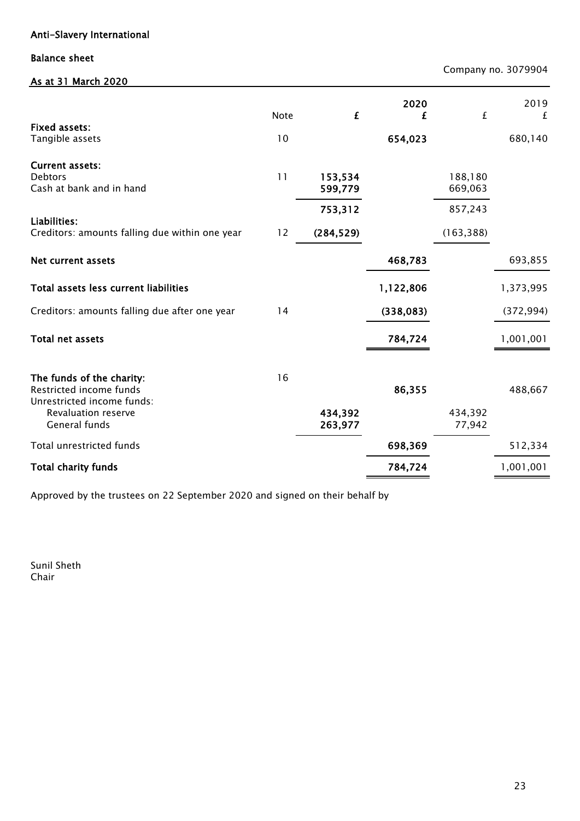#### Balance sheet

As at 31 March 2020

| <b>Fixed assets:</b>                                                               | <b>Note</b> | £                  | 2020<br>£  | £                  | 2019<br>£  |
|------------------------------------------------------------------------------------|-------------|--------------------|------------|--------------------|------------|
| Tangible assets                                                                    | 10          |                    | 654,023    |                    | 680,140    |
| <b>Current assets:</b><br><b>Debtors</b><br>Cash at bank and in hand               | 11          | 153,534<br>599,779 |            | 188,180<br>669,063 |            |
| Liabilities:                                                                       |             | 753,312            |            | 857,243            |            |
| Creditors: amounts falling due within one year                                     | 12          | (284, 529)         |            | (163, 388)         |            |
| Net current assets                                                                 |             |                    | 468,783    |                    | 693,855    |
| Total assets less current liabilities                                              |             |                    | 1,122,806  |                    | 1,373,995  |
| Creditors: amounts falling due after one year                                      | 14          |                    | (338, 083) |                    | (372, 994) |
| <b>Total net assets</b>                                                            |             |                    | 784,724    |                    | 1,001,001  |
| The funds of the charity:<br>Restricted income funds<br>Unrestricted income funds: | 16          |                    | 86,355     |                    | 488,667    |
| <b>Revaluation reserve</b><br>General funds                                        |             | 434,392<br>263,977 |            | 434,392<br>77,942  |            |
| Total unrestricted funds                                                           |             |                    | 698,369    |                    | 512,334    |
| <b>Total charity funds</b>                                                         |             |                    | 784,724    |                    | 1,001,001  |

Approved by the trustees on 22 September 2020 and signed on their behalf by

Chair Sunil Sheth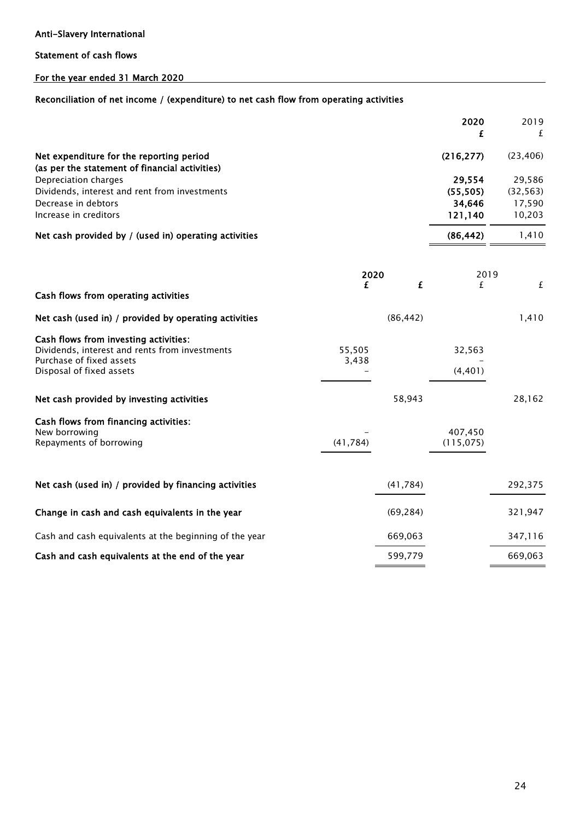#### Statement of cash flows

### For the year ended 31 March 2020

#### Reconciliation of net income / (expenditure) to net cash flow from operating activities

|                                                                                            |          |           | 2020<br>£             | 2019<br>£        |
|--------------------------------------------------------------------------------------------|----------|-----------|-----------------------|------------------|
| Net expenditure for the reporting period<br>(as per the statement of financial activities) |          |           | (216, 277)            | (23, 406)        |
| Depreciation charges                                                                       |          |           | 29,554                | 29,586           |
| Dividends, interest and rent from investments                                              |          |           | (55, 505)             | (32, 563)        |
| Decrease in debtors<br>Increase in creditors                                               |          |           | 34,646<br>121,140     | 17,590<br>10,203 |
| Net cash provided by / (used in) operating activities                                      |          |           | (86, 442)             | 1,410            |
|                                                                                            | 2020     |           | 2019                  |                  |
| Cash flows from operating activities                                                       | £        | £         | £                     | £                |
| Net cash (used in) / provided by operating activities                                      |          | (86, 442) |                       | 1,410            |
| Cash flows from investing activities:<br>Dividends, interest and rents from investments    | 55,505   |           | 32,563                |                  |
| Purchase of fixed assets<br>Disposal of fixed assets                                       | 3,438    |           | (4, 401)              |                  |
| Net cash provided by investing activities                                                  |          | 58,943    |                       | 28,162           |
| Cash flows from financing activities:                                                      |          |           |                       |                  |
| New borrowing<br>Repayments of borrowing                                                   | (41,784) |           | 407,450<br>(115, 075) |                  |
| Net cash (used in) / provided by financing activities                                      |          | (41, 784) |                       | 292,375          |
| Change in cash and cash equivalents in the year                                            |          | (69, 284) |                       | 321,947          |
| Cash and cash equivalents at the beginning of the year                                     |          | 669,063   |                       | 347,116          |
| Cash and cash equivalents at the end of the year                                           |          | 599,779   |                       | 669,063          |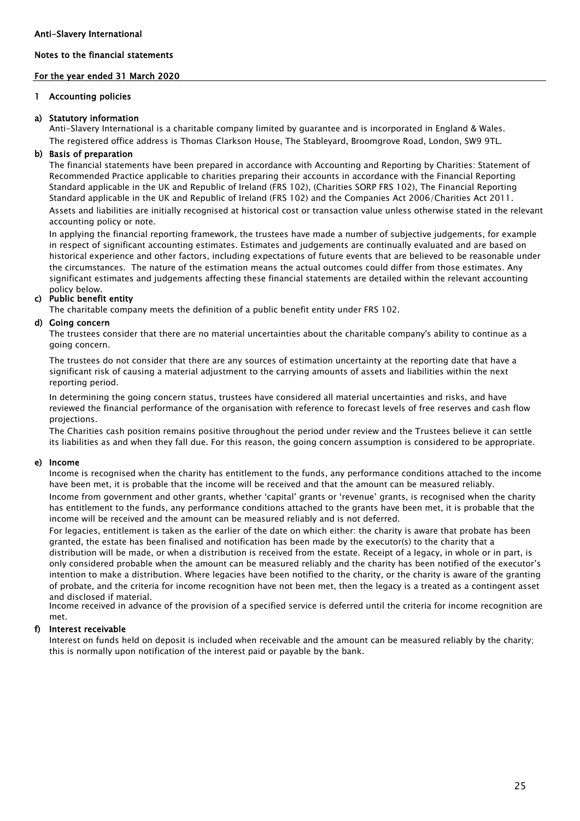#### For the year ended 31 March 2020

#### 1 Accounting policies

#### a) Statutory information

Anti-Slavery International is a charitable company limited by guarantee and is incorporated in England & Wales. The registered office address is Thomas Clarkson House, The Stableyard, Broomgrove Road, London, SW9 9TL.

#### b) Basis of preparation

The financial statements have been prepared in accordance with Accounting and Reporting by Charities: Statement of Recommended Practice applicable to charities preparing their accounts in accordance with the Financial Reporting Standard applicable in the UK and Republic of Ireland (FRS 102), (Charities SORP FRS 102), The Financial Reporting Standard applicable in the UK and Republic of Ireland (FRS 102) and the Companies Act 2006/Charities Act 2011.

Assets and liabilities are initially recognised at historical cost or transaction value unless otherwise stated in the relevant accounting policy or note.

In applying the financial reporting framework, the trustees have made a number of subjective judgements, for example in respect of significant accounting estimates. Estimates and judgements are continually evaluated and are based on historical experience and other factors, including expectations of future events that are believed to be reasonable under the circumstances. The nature of the estimation means the actual outcomes could differ from those estimates. Any significant estimates and judgements affecting these financial statements are detailed within the relevant accounting policy below.

#### c) Public benefit entity

The charitable company meets the definition of a public benefit entity under FRS 102.

#### d) Going concern

The trustees consider that there are no material uncertainties about the charitable company's ability to continue as a going concern.

The trustees do not consider that there are any sources of estimation uncertainty at the reporting date that have a significant risk of causing a material adjustment to the carrying amounts of assets and liabilities within the next reporting period.

In determining the going concern status, trustees have considered all material uncertainties and risks, and have reviewed the financial performance of the organisation with reference to forecast levels of free reserves and cash flow projections.

The Charities cash position remains positive throughout the period under review and the Trustees believe it can settle its liabilities as and when they fall due. For this reason, the going concern assumption is considered to be appropriate.

#### e) Income

Income is recognised when the charity has entitlement to the funds, any performance conditions attached to the income have been met, it is probable that the income will be received and that the amount can be measured reliably.

Income from government and other grants, whether 'capital' grants or 'revenue' grants, is recognised when the charity has entitlement to the funds, any performance conditions attached to the grants have been met, it is probable that the income will be received and the amount can be measured reliably and is not deferred.

For legacies, entitlement is taken as the earlier of the date on which either: the charity is aware that probate has been granted, the estate has been finalised and notification has been made by the executor(s) to the charity that a

distribution will be made, or when a distribution is received from the estate. Receipt of a legacy, in whole or in part, is only considered probable when the amount can be measured reliably and the charity has been notified of the executor's intention to make a distribution. Where legacies have been notified to the charity, or the charity is aware of the granting of probate, and the criteria for income recognition have not been met, then the legacy is a treated as a contingent asset and disclosed if material.

Income received in advance of the provision of a specified service is deferred until the criteria for income recognition are met.

#### f) Interest receivable

Interest on funds held on deposit is included when receivable and the amount can be measured reliably by the charity; this is normally upon notification of the interest paid or payable by the bank.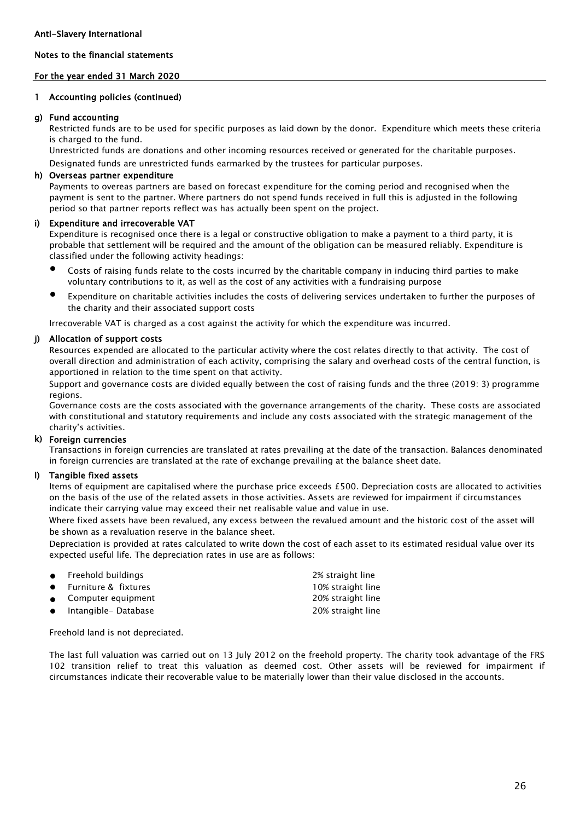#### For the year ended 31 March 2020

#### 1 Accounting policies (continued)

#### g) Fund accounting

Restricted funds are to be used for specific purposes as laid down by the donor. Expenditure which meets these criteria is charged to the fund.

Unrestricted funds are donations and other incoming resources received or generated for the charitable purposes.

Designated funds are unrestricted funds earmarked by the trustees for particular purposes.

#### h) Overseas partner expenditure

Payments to overeas partners are based on forecast expenditure for the coming period and recognised when the payment is sent to the partner. Where partners do not spend funds received in full this is adjusted in the following period so that partner reports reflect was has actually been spent on the project.

#### i) Expenditure and irrecoverable VAT

Expenditure is recognised once there is a legal or constructive obligation to make a payment to a third party, it is probable that settlement will be required and the amount of the obligation can be measured reliably. Expenditure is classified under the following activity headings:

- $\bullet$ Costs of raising funds relate to the costs incurred by the charitable company in inducing third parties to make voluntary contributions to it, as well as the cost of any activities with a fundraising purpose
- $\bullet$ Expenditure on charitable activities includes the costs of delivering services undertaken to further the purposes of the charity and their associated support costs

Irrecoverable VAT is charged as a cost against the activity for which the expenditure was incurred.

#### j) Allocation of support costs

Resources expended are allocated to the particular activity where the cost relates directly to that activity. The cost of overall direction and administration of each activity, comprising the salary and overhead costs of the central function, is apportioned in relation to the time spent on that activity.

Support and governance costs are divided equally between the cost of raising funds and the three (2019: 3) programme regions.

Governance costs are the costs associated with the governance arrangements of the charity. These costs are associated with constitutional and statutory requirements and include any costs associated with the strategic management of the charity's activities.

#### k) Foreign currencies

Transactions in foreign currencies are translated at rates prevailing at the date of the transaction. Balances denominated in foreign currencies are translated at the rate of exchange prevailing at the balance sheet date.

#### $\mathbf{D}$ Tangible fixed assets

Items of equipment are capitalised where the purchase price exceeds £500. Depreciation costs are allocated to activities on the basis of the use of the related assets in those activities. Assets are reviewed for impairment if circumstances indicate their carrying value may exceed their net realisable value and value in use.

Where fixed assets have been revalued, any excess between the revalued amount and the historic cost of the asset will be shown as a revaluation reserve in the balance sheet.

Depreciation is provided at rates calculated to write down the cost of each asset to its estimated residual value over its expected useful life. The depreciation rates in use are as follows:

| • Freehold buildings   | 2% straight line  |
|------------------------|-------------------|
| • Furniture & fixtures | 10% straight line |
| • Computer equipment   | 20% straight line |
| • Intangible-Database  | 20% straight line |

Freehold land is not depreciated.

The last full valuation was carried out on 13 July 2012 on the freehold property. The charity took advantage of the FRS 102 transition relief to treat this valuation as deemed cost. Other assets will be reviewed for impairment if circumstances indicate their recoverable value to be materially lower than their value disclosed in the accounts.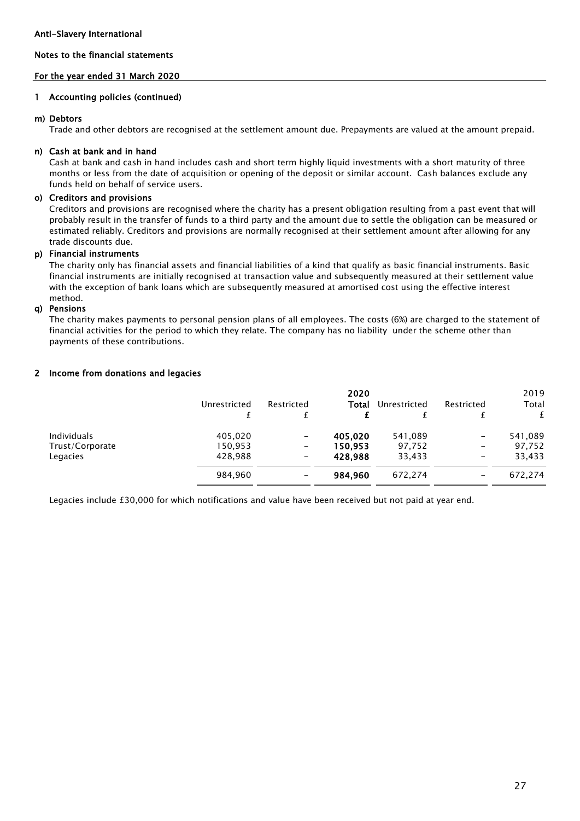#### For the year ended 31 March 2020

#### 1 Accounting policies (continued)

#### m) Debtors

Trade and other debtors are recognised at the settlement amount due. Prepayments are valued at the amount prepaid.

#### n) Cash at bank and in hand

Cash at bank and cash in hand includes cash and short term highly liquid investments with a short maturity of three months or less from the date of acquisition or opening of the deposit or similar account. Cash balances exclude any funds held on behalf of service users.

#### o) Creditors and provisions

Creditors and provisions are recognised where the charity has a present obligation resulting from a past event that will probably result in the transfer of funds to a third party and the amount due to settle the obligation can be measured or estimated reliably. Creditors and provisions are normally recognised at their settlement amount after allowing for any trade discounts due.

#### p) Financial instruments

The charity only has financial assets and financial liabilities of a kind that qualify as basic financial instruments. Basic financial instruments are initially recognised at transaction value and subsequently measured at their settlement value with the exception of bank loans which are subsequently measured at amortised cost using the effective interest method.

#### q) Pensions

The charity makes payments to personal pension plans of all employees. The costs (6%) are charged to the statement of financial activities for the period to which they relate. The company has no liability under the scheme other than payments of these contributions.

#### 2 Income from donations and legacies

|                 |              |                          | 2020         |              |                              | 2019    |
|-----------------|--------------|--------------------------|--------------|--------------|------------------------------|---------|
|                 | Unrestricted | Restricted               | <b>Total</b> | Unrestricted | Restricted                   | Total   |
|                 |              |                          |              |              |                              | £       |
| Individuals     | 405,020      | $\overline{\phantom{m}}$ | 405,020      | 541,089      | $\qquad \qquad -$            | 541,089 |
| Trust/Corporate | 150,953      | $\overline{\phantom{m}}$ | 150,953      | 97,752       | $\qquad \qquad \blacksquare$ | 97,752  |
| Legacies        | 428,988      | $\overline{\phantom{m}}$ | 428,988      | 33,433       | $\qquad \qquad \blacksquare$ | 33,433  |
|                 | 984,960      | $\overline{\phantom{m}}$ | 984,960      | 672,274      | $\overline{\phantom{0}}$     | 672,274 |
|                 |              |                          |              |              |                              |         |

Legacies include £30,000 for which notifications and value have been received but not paid at year end.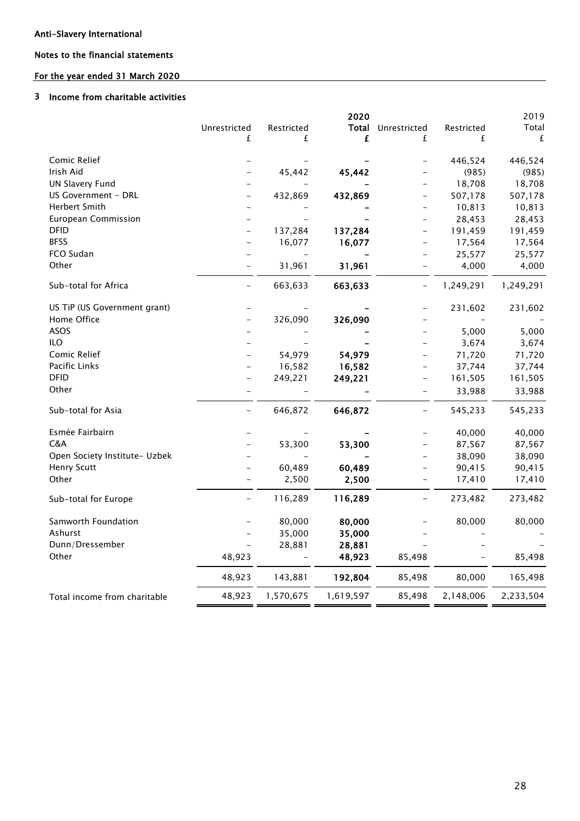# For the year ended 31 March 2020

#### 3 Income from charitable activities

|                               |              |            | 2020         |              |            | 2019      |
|-------------------------------|--------------|------------|--------------|--------------|------------|-----------|
|                               | Unrestricted | Restricted | <b>Total</b> | Unrestricted | Restricted | Total     |
|                               | £            | £          | £            | £            | £          | £         |
| <b>Comic Relief</b>           |              |            |              |              | 446,524    | 446,524   |
| Irish Aid                     |              | 45,442     | 45,442       |              | (985)      | (985)     |
| <b>UN Slavery Fund</b>        |              |            |              |              | 18,708     | 18,708    |
| US Government - DRL           |              | 432,869    | 432,869      |              | 507,178    | 507,178   |
| Herbert Smith                 |              |            |              |              | 10,813     | 10,813    |
| <b>European Commission</b>    |              |            |              |              | 28,453     | 28,453    |
| <b>DFID</b>                   |              | 137,284    | 137,284      |              | 191,459    | 191,459   |
| <b>BFSS</b>                   |              | 16,077     | 16,077       |              | 17,564     | 17,564    |
| FCO Sudan                     |              |            |              |              | 25,577     | 25,577    |
| Other                         |              | 31,961     | 31,961       |              | 4,000      | 4,000     |
| Sub-total for Africa          |              | 663,633    | 663,633      |              | 1,249,291  | 1,249,291 |
| US TiP (US Government grant)  |              |            |              |              | 231,602    | 231,602   |
| Home Office                   |              | 326,090    | 326,090      |              |            |           |
| ASOS                          |              |            |              |              | 5,000      | 5,000     |
| <b>ILO</b>                    |              |            |              |              | 3,674      | 3,674     |
| <b>Comic Relief</b>           |              | 54,979     | 54,979       |              | 71,720     | 71,720    |
| Pacific Links                 |              | 16,582     | 16,582       |              | 37,744     | 37,744    |
| <b>DFID</b>                   |              | 249,221    | 249,221      |              | 161,505    | 161,505   |
| Other                         |              |            |              |              | 33,988     | 33,988    |
| Sub-total for Asia            |              | 646,872    | 646,872      |              | 545,233    | 545,233   |
| Esmée Fairbairn               |              |            |              |              | 40,000     | 40,000    |
| C&A                           |              | 53,300     | 53,300       |              | 87,567     | 87,567    |
| Open Society Institute- Uzbek |              |            |              |              | 38,090     | 38,090    |
| <b>Henry Scutt</b>            |              | 60,489     | 60,489       |              | 90,415     | 90,415    |
| Other                         |              | 2,500      | 2,500        |              | 17,410     | 17,410    |
| Sub-total for Europe          |              | 116,289    | 116,289      |              | 273,482    | 273,482   |
| Samworth Foundation           |              | 80,000     | 80,000       |              | 80,000     | 80,000    |
| Ashurst                       |              | 35,000     | 35,000       |              |            |           |
| Dunn/Dressember               |              | 28,881     | 28,881       |              |            |           |
| Other                         | 48,923       |            | 48,923       | 85,498       |            | 85,498    |
|                               | 48,923       | 143,881    | 192,804      | 85,498       | 80,000     | 165,498   |
| Total income from charitable  | 48,923       | 1,570,675  | 1,619,597    | 85,498       | 2,148,006  | 2,233,504 |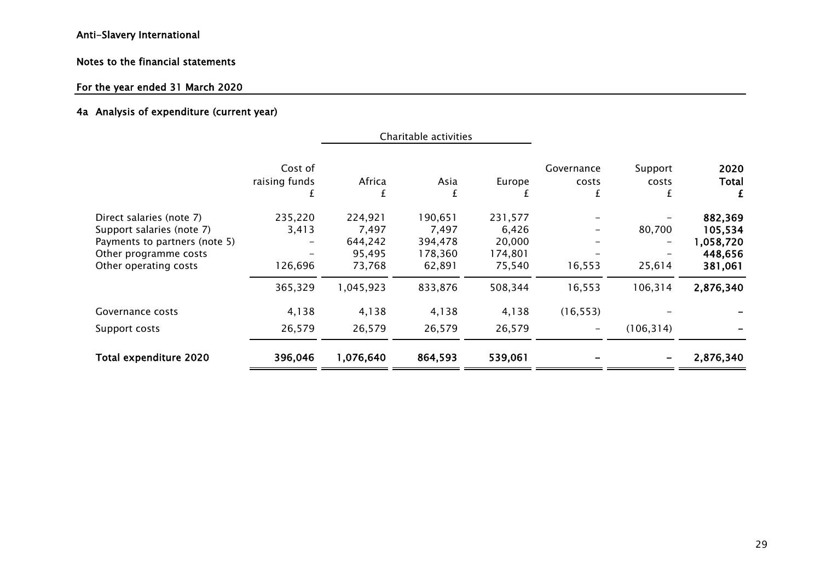### Notes to the financial statements

### For the year ended 31 March 2020

#### 4a Analysis of expenditure (current year)

| Cost of |               |         |         | Governance                      | Support    | 2020       |
|---------|---------------|---------|---------|---------------------------------|------------|------------|
|         | £             | £       |         | £                               | £          | Total<br>£ |
| 235,220 | 224,921       | 190,651 | 231,577 |                                 |            | 882,369    |
| 3,413   | 7,497         | 7,497   | 6,426   |                                 | 80,700     | 105,534    |
|         | 644,242       | 394,478 | 20,000  |                                 |            | 1,058,720  |
|         | 95,495        | 178,360 | 174,801 |                                 |            | 448,656    |
| 126,696 | 73,768        | 62,891  | 75,540  | 16,553                          | 25,614     | 381,061    |
| 365,329 | 1,045,923     | 833,876 | 508,344 | 16,553                          | 106,314    | 2,876,340  |
| 4,138   | 4,138         | 4,138   | 4,138   | (16, 553)                       |            |            |
| 26,579  | 26,579        | 26,579  | 26,579  |                                 | (106, 314) |            |
| 396,046 | 1,076,640     | 864,593 | 539,061 |                                 |            | 2,876,340  |
|         | raising funds | Africa  | Asia    | Charitable activities<br>Europe | costs      | costs      |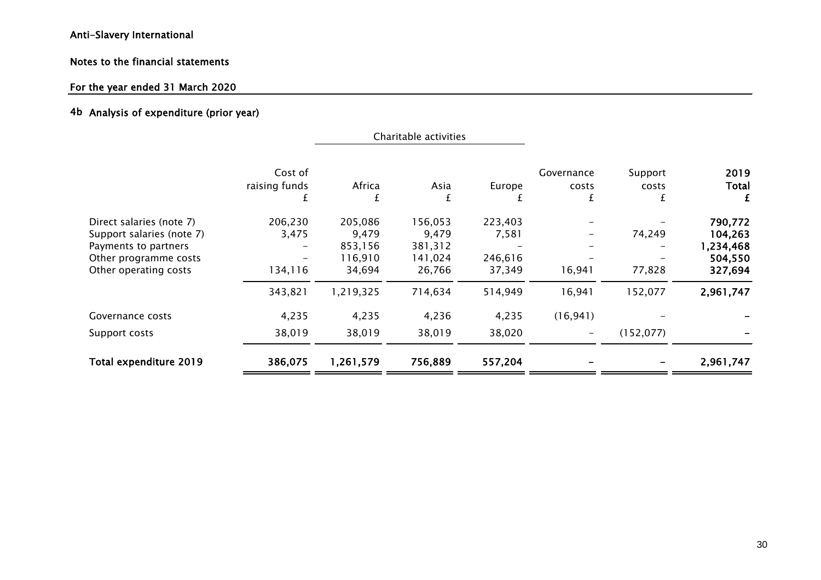#### Notes to the financial statements

### For the year ended 31 March 2020

#### 4b Analysis of expenditure (prior year)

|                           |               |           | Charitable activities |         |            |            |           |
|---------------------------|---------------|-----------|-----------------------|---------|------------|------------|-----------|
|                           | Cost of       |           |                       |         | Governance | Support    | 2019      |
|                           | raising funds | Africa    | Asia                  | Europe  | costs      | costs      | Total     |
|                           | £             | £         | £                     | ±.      | £          | $\pm$      | £         |
| Direct salaries (note 7)  | 206,230       | 205,086   | 156,053               | 223,403 |            |            | 790,772   |
| Support salaries (note 7) | 3,475         | 9,479     | 9,479                 | 7,581   |            | 74,249     | 104,263   |
| Payments to partners      |               | 853,156   | 381,312               |         |            |            | 1,234,468 |
| Other programme costs     |               | 116,910   | 141,024               | 246,616 |            |            | 504,550   |
| Other operating costs     | 134,116       | 34,694    | 26,766                | 37,349  | 16,941     | 77,828     | 327,694   |
|                           | 343,821       | 1,219,325 | 714,634               | 514,949 | 16,941     | 152,077    | 2,961,747 |
| Governance costs          | 4,235         | 4,235     | 4,236                 | 4,235   | (16, 941)  |            |           |
| Support costs             | 38,019        | 38,019    | 38,019                | 38,020  |            | (152, 077) |           |
| Total expenditure 2019    | 386,075       | 1,261,579 | 756,889               | 557,204 |            |            | 2,961,747 |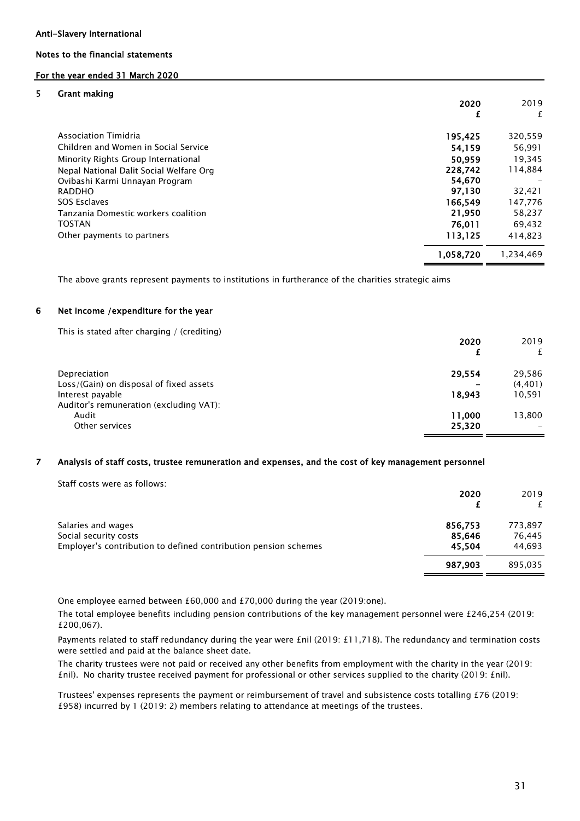#### Notes to the financial statements

#### For the year ended 31 March 2020

#### 5 Grant making

|                                         | 2020<br>£ | 2019<br>£ |
|-----------------------------------------|-----------|-----------|
| <b>Association Timidria</b>             | 195,425   | 320,559   |
| Children and Women in Social Service    | 54,159    | 56,991    |
| Minority Rights Group International     | 50,959    | 19,345    |
| Nepal National Dalit Social Welfare Org | 228,742   | 114,884   |
| Ovibashi Karmi Unnayan Program          | 54,670    |           |
| <b>RADDHO</b>                           | 97,130    | 32,421    |
| <b>SOS Esclaves</b>                     | 166,549   | 147,776   |
| Tanzania Domestic workers coalition     | 21,950    | 58,237    |
| <b>TOSTAN</b>                           | 76,011    | 69,432    |
| Other payments to partners              | 113,125   | 414,823   |
|                                         | 1,058,720 | 1,234,469 |

The above grants represent payments to institutions in furtherance of the charities strategic aims

#### 6 Net income /expenditure for the year

| This is stated after charging $/$ (crediting)                               | 2020             | 2019<br>$\mathbf{f}$         |
|-----------------------------------------------------------------------------|------------------|------------------------------|
| Depreciation<br>Loss/(Gain) on disposal of fixed assets<br>Interest payable | 29,554<br>18,943 | 29,586<br>(4, 401)<br>10,591 |
| Auditor's remuneration (excluding VAT):<br>Audit<br>Other services          | 11,000<br>25,320 | 13,800                       |

#### 7 Analysis of staff costs, trustee remuneration and expenses, and the cost of key management personnel

Staff costs were as follows:

|                                                                 | 2020    | 2019    |
|-----------------------------------------------------------------|---------|---------|
| Salaries and wages                                              | 856,753 | 773,897 |
| Social security costs                                           | 85,646  | 76,445  |
| Employer's contribution to defined contribution pension schemes | 45,504  | 44,693  |
|                                                                 | 987,903 | 895,035 |

One employee earned between £60,000 and £70,000 during the year (2019:one).

The total employee benefits including pension contributions of the key management personnel were £246,254 (2019: £200,067).

Payments related to staff redundancy during the year were £nil (2019: £11,718). The redundancy and termination costs were settled and paid at the balance sheet date.

The charity trustees were not paid or received any other benefits from employment with the charity in the year (2019: £nil). No charity trustee received payment for professional or other services supplied to the charity (2019: £nil).

Trustees' expenses represents the payment or reimbursement of travel and subsistence costs totalling £76 (2019: £958) incurred by 1 (2019: 2) members relating to attendance at meetings of the trustees.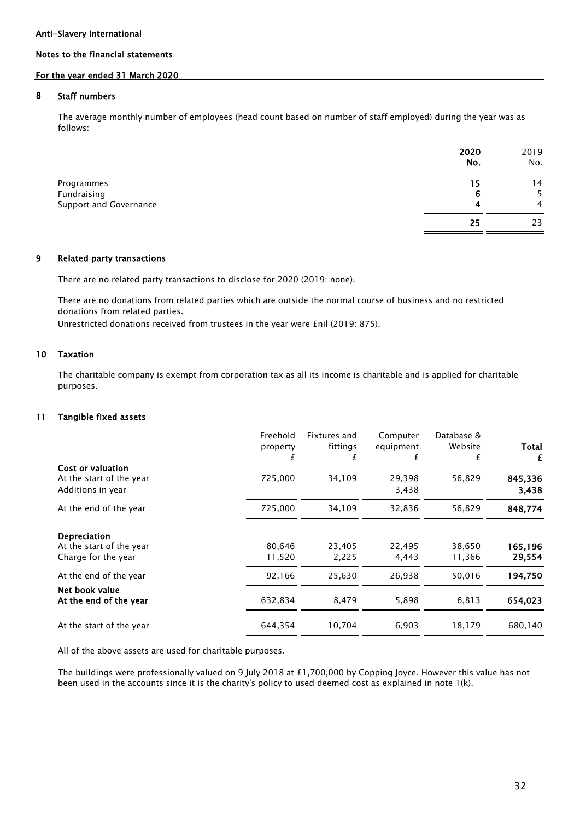#### Notes to the financial statements

#### For the year ended 31 March 2020

#### 8 Staff numbers

The average monthly number of employees (head count based on number of staff employed) during the year was as follows:

|                               | 2020<br>No. | 2019<br>No.    |
|-------------------------------|-------------|----------------|
| Programmes                    | 15          | 14             |
| Fundraising                   | 6           | 5              |
| <b>Support and Governance</b> | 4           | $\overline{4}$ |
|                               | 25          | 23             |

#### 9 Related party transactions

There are no related party transactions to disclose for 2020 (2019: none).

There are no donations from related parties which are outside the normal course of business and no restricted donations from related parties.

Unrestricted donations received from trustees in the year were £nil (2019: 875).

#### 10 Taxation

The charitable company is exempt from corporation tax as all its income is charitable and is applied for charitable purposes.

#### 11 Tangible fixed assets

|                                          | Freehold<br>property<br>£ | Fixtures and<br>fittings | Computer<br>equipment | Database &<br>Website<br>£ | Total<br>£ |
|------------------------------------------|---------------------------|--------------------------|-----------------------|----------------------------|------------|
| Cost or valuation                        |                           |                          |                       |                            |            |
| At the start of the year                 | 725,000                   | 34,109                   | 29,398                | 56,829                     | 845,336    |
| Additions in year                        |                           |                          | 3,438                 |                            | 3,438      |
| At the end of the year                   | 725,000                   | 34,109                   | 32,836                | 56,829                     | 848,774    |
| <b>Depreciation</b>                      |                           |                          |                       |                            |            |
| At the start of the year                 | 80,646                    | 23,405                   | 22,495                | 38,650                     | 165,196    |
| Charge for the year                      | 11,520                    | 2,225                    | 4,443                 | 11,366                     | 29,554     |
| At the end of the year                   | 92,166                    | 25,630                   | 26,938                | 50,016                     | 194,750    |
| Net book value<br>At the end of the year | 632,834                   | 8,479                    | 5,898                 | 6,813                      | 654,023    |
| At the start of the year                 | 644,354                   | 10,704                   | 6,903                 | 18,179                     | 680,140    |

All of the above assets are used for charitable purposes.

The buildings were professionally valued on 9 July 2018 at £1,700,000 by Copping Joyce. However this value has not been used in the accounts since it is the charity's policy to used deemed cost as explained in note 1(k).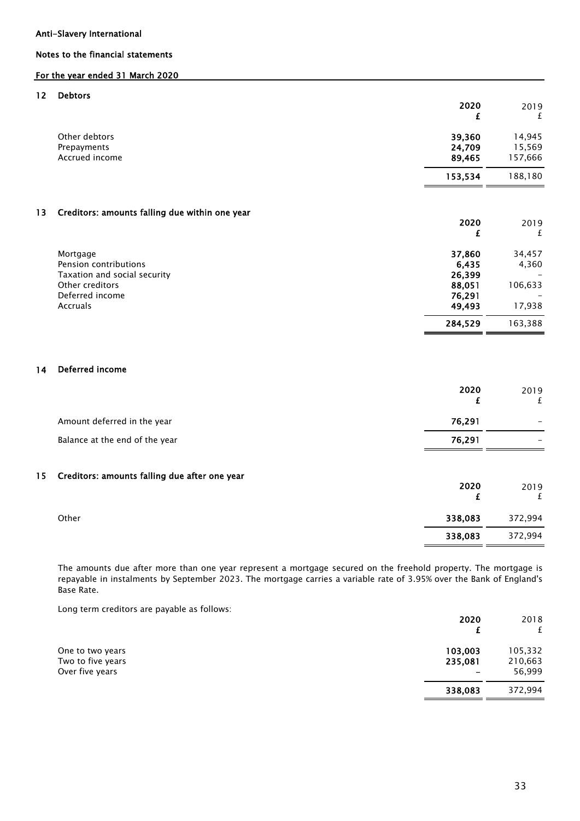#### Notes to the financial statements

### For the year ended 31 March 2020

12 Debtors

15

|    |                                                                                                                     | 2020<br>£                                               | 2019<br>£                            |
|----|---------------------------------------------------------------------------------------------------------------------|---------------------------------------------------------|--------------------------------------|
|    | Other debtors<br>Prepayments<br>Accrued income                                                                      | 39,360<br>24,709<br>89,465                              | 14,945<br>15,569<br>157,666          |
|    |                                                                                                                     | 153,534                                                 | 188,180                              |
| 13 | Creditors: amounts falling due within one year                                                                      | 2020<br>£                                               | 2019<br>£                            |
|    | Mortgage<br>Pension contributions<br>Taxation and social security<br>Other creditors<br>Deferred income<br>Accruals | 37,860<br>6,435<br>26,399<br>88,051<br>76,291<br>49,493 | 34,457<br>4,360<br>106,633<br>17,938 |
|    |                                                                                                                     | 284,529                                                 | 163,388                              |
| 14 | Deferred income                                                                                                     | 2020                                                    | 2019                                 |

|                                               | £         | £         |
|-----------------------------------------------|-----------|-----------|
| Amount deferred in the year                   | 76,291    |           |
| Balance at the end of the year                | 76,291    |           |
| Creditors: amounts falling due after one year | 2020<br>£ | 2019<br>£ |
| Other                                         | 338,083   | 372,994   |
|                                               | 338,083   | 372,994   |

The amounts due after more than one year represent a mortgage secured on the freehold property. The mortgage is repayable in instalments by September 2023. The mortgage carries a variable rate of 3.95% over the Bank of England's Base Rate.

Long term creditors are payable as follows:

|                   | 2020    | 2018<br>£ |
|-------------------|---------|-----------|
| One to two years  | 103,003 | 105,332   |
| Two to five years | 235,081 | 210,663   |
| Over five years   | -       | 56,999    |
|                   | 338,083 | 372,994   |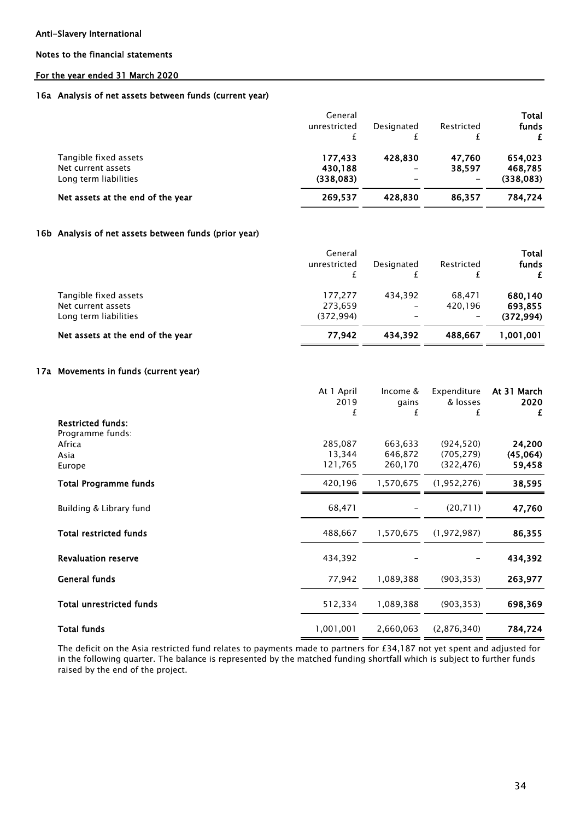#### For the year ended 31 March 2020

#### 16a Analysis of net assets between funds (current year)

|                                   | General<br>unrestricted | Designated | Restricted               | Total<br>funds |
|-----------------------------------|-------------------------|------------|--------------------------|----------------|
|                                   |                         |            |                          | £              |
| Tangible fixed assets             | 177,433                 | 428,830    | 47,760                   | 654,023        |
| Net current assets                | 430,188                 | -          | 38,597                   | 468,785        |
| Long term liabilities             | (338,083)               | -          | $\overline{\phantom{m}}$ | (338, 083)     |
| Net assets at the end of the year | 269.537                 | 428,830    | 86,357                   | 784,724        |

 $=$   $=$ 

#### 16b Analysis of net assets between funds (prior year)

|                                       | General      |            |               | Total       |
|---------------------------------------|--------------|------------|---------------|-------------|
|                                       | unrestricted | Designated | Restricted    | funds       |
|                                       | £            | f          | £             | £           |
| Tangible fixed assets                 | 177,277      | 434,392    | 68,471        | 680,140     |
| Net current assets                    | 273,659      |            | 420,196       | 693,855     |
| Long term liabilities                 | (372, 994)   |            |               | (372, 994)  |
| Net assets at the end of the year     | 77,942       | 434,392    | 488,667       | 1,001,001   |
| 17a Movements in funds (current year) |              |            |               |             |
|                                       | At 1 April   | Income &   | Expenditure   | At 31 March |
|                                       | 2019         | gains      | & losses      | 2020        |
|                                       | £            | £          | £             | £           |
| <b>Restricted funds:</b>              |              |            |               |             |
| Programme funds:                      |              |            |               |             |
| Africa                                | 285,087      | 663,633    | (924, 520)    | 24,200      |
| Asia                                  | 13,344       | 646,872    | (705, 279)    | (45,064)    |
| Europe                                | 121,765      | 260,170    | (322, 476)    | 59,458      |
|                                       |              |            |               |             |
| <b>Total Programme funds</b>          | 420,196      | 1,570,675  | (1, 952, 276) | 38,595      |
| Building & Library fund               | 68,471       |            | (20, 711)     | 47,760      |
| <b>Total restricted funds</b>         | 488,667      | 1,570,675  | (1, 972, 987) | 86,355      |
| <b>Revaluation reserve</b>            | 434,392      |            |               | 434,392     |
| <b>General funds</b>                  | 77,942       | 1,089,388  | (903, 353)    | 263,977     |
| <b>Total unrestricted funds</b>       | 512,334      | 1,089,388  | (903, 353)    | 698,369     |
| <b>Total funds</b>                    | 1,001,001    | 2,660,063  | (2,876,340)   | 784,724     |

The deficit on the Asia restricted fund relates to payments made to partners for £34,187 not yet spent and adjusted for in the following quarter. The balance is represented by the matched funding shortfall which is subject to further funds raised by the end of the project.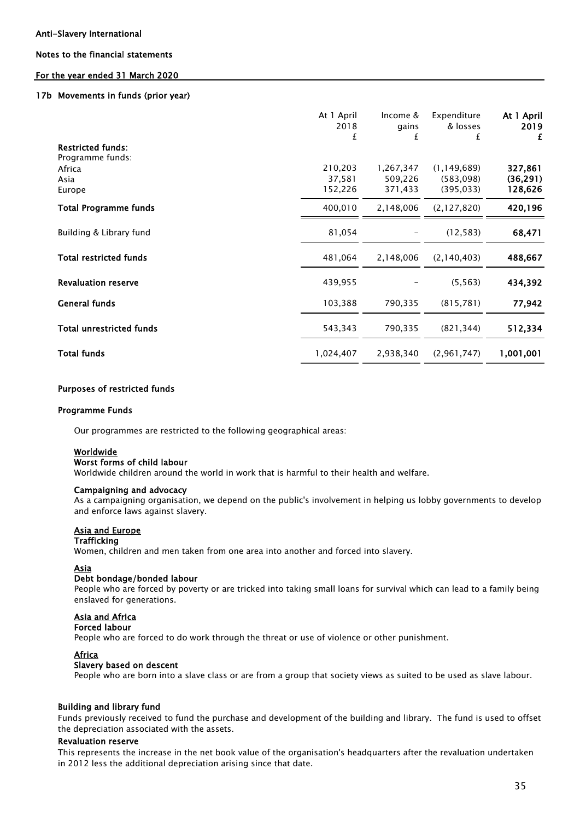#### Notes to the financial statements

#### For the year ended 31 March 2020

#### 17b Movements in funds (prior year)

|                                              | At 1 April<br>2018<br>£      | Income &<br>gains<br>£          | Expenditure<br>& losses<br>£             | At 1 April<br>2019<br>£         |
|----------------------------------------------|------------------------------|---------------------------------|------------------------------------------|---------------------------------|
| <b>Restricted funds:</b>                     |                              |                                 |                                          |                                 |
| Programme funds:<br>Africa<br>Asia<br>Europe | 210,203<br>37,581<br>152,226 | 1,267,347<br>509,226<br>371,433 | (1, 149, 689)<br>(583,098)<br>(395, 033) | 327,861<br>(36, 291)<br>128,626 |
| <b>Total Programme funds</b>                 | 400,010                      | 2,148,006                       | (2,127,820)                              | 420,196                         |
| Building & Library fund                      | 81,054                       |                                 | (12, 583)                                | 68,471                          |
| <b>Total restricted funds</b>                | 481,064                      | 2,148,006                       | (2,140,403)                              | 488,667                         |
| <b>Revaluation reserve</b>                   | 439,955                      |                                 | (5, 563)                                 | 434,392                         |
| <b>General funds</b>                         | 103,388                      | 790,335                         | (815, 781)                               | 77,942                          |
| <b>Total unrestricted funds</b>              | 543,343                      | 790,335                         | (821, 344)                               | 512,334                         |
| <b>Total funds</b>                           | 1,024,407                    | 2,938,340                       | (2,961,747)                              | 1,001,001                       |

#### Purposes of restricted funds

#### Programme Funds

Our programmes are restricted to the following geographical areas:

#### Worldwide

#### Worst forms of child labour

Worldwide children around the world in work that is harmful to their health and welfare.

#### Campaigning and advocacy

As a campaigning organisation, we depend on the public's involvement in helping us lobby governments to develop and enforce laws against slavery.

#### Asia and Europe

#### **Trafficking**

Women, children and men taken from one area into another and forced into slavery.

#### Asia

#### Debt bondage/bonded labour

People who are forced by poverty or are tricked into taking small loans for survival which can lead to a family being enslaved for generations.

### Asia and Africa

### Forced labour

People who are forced to do work through the threat or use of violence or other punishment.

#### **Africa**

#### Slavery based on descent

People who are born into a slave class or are from a group that society views as suited to be used as slave labour.

#### Building and library fund

Funds previously received to fund the purchase and development of the building and library. The fund is used to offset the depreciation associated with the assets.

#### Revaluation reserve

This represents the increase in the net book value of the organisation's headquarters after the revaluation undertaken in 2012 less the additional depreciation arising since that date.